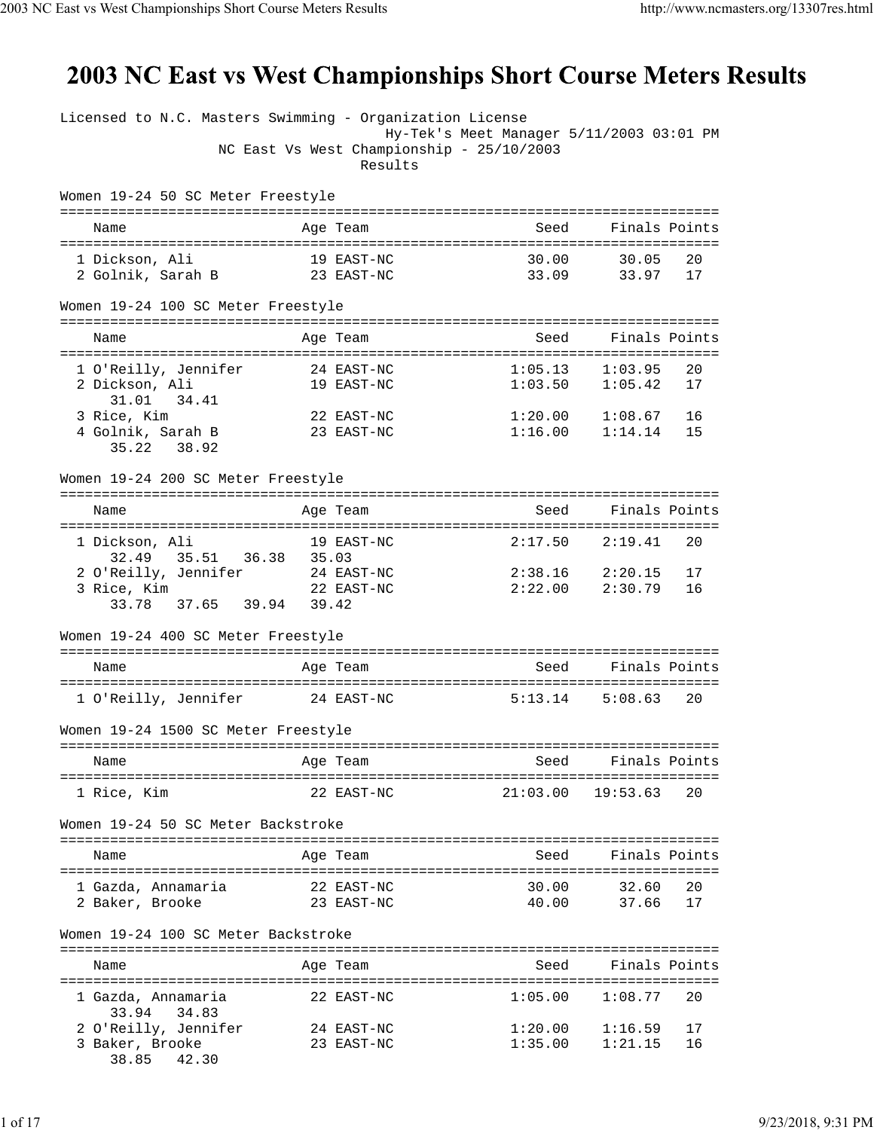## 2003 NC East vs West Championships Short Course Meters Results

| Licensed to N.C. Masters Swimming - Organization License |                                                                                                  |                     |                                            |    |
|----------------------------------------------------------|--------------------------------------------------------------------------------------------------|---------------------|--------------------------------------------|----|
|                                                          | Hy-Tek's Meet Manager 5/11/2003 03:01 PM<br>NC East Vs West Championship - 25/10/2003<br>Results |                     |                                            |    |
| Women 19-24 50 SC Meter Freestyle                        |                                                                                                  |                     |                                            |    |
| Name                                                     | Age Team                                                                                         | Seed                | Finals Points                              |    |
| 1 Dickson, Ali                                           | 19 EAST-NC                                                                                       | 30.00               | 30.05                                      | 20 |
| 2 Golnik, Sarah B 23 EAST-NC                             |                                                                                                  |                     | 33.09 33.97 17                             |    |
| Women 19-24 100 SC Meter Freestyle                       |                                                                                                  |                     |                                            |    |
| Name                                                     | Age Team                                                                                         | Seed Finals Points  |                                            |    |
| 1 O'Reilly, Jennifer                                     | 24 EAST-NC                                                                                       | $1:05.13$ $1:03.95$ |                                            | 20 |
| 2 Dickson, Ali                                           | 19 EAST-NC                                                                                       | 1:03.50             | 1:05.42                                    | 17 |
| 31.01<br>34.41                                           |                                                                                                  |                     |                                            |    |
| 3 Rice, Kim                                              | 22 EAST-NC                                                                                       |                     | $1:20.00$ $1:08.67$<br>$1:16.00$ $1:14.14$ | 16 |
| 4 Golnik, Sarah B<br>35.22 38.92                         | 23 EAST-NC                                                                                       |                     |                                            | 15 |
|                                                          |                                                                                                  |                     |                                            |    |
| Women 19-24 200 SC Meter Freestyle                       |                                                                                                  |                     |                                            |    |
| Name                                                     | Age Team                                                                                         |                     | Seed Finals Points                         |    |
| 1 Dickson, Ali<br>19 EAST-NC                             |                                                                                                  | 2:17.50             | 2:19.41                                    | 20 |
| 35.51 36.38 35.03<br>32.49                               |                                                                                                  |                     |                                            |    |
| 2 O'Reilly, Jennifer 24 EAST-NC                          |                                                                                                  | $2:38.16$ $2:20.15$ |                                            | 17 |
| 3 Rice, Kim<br>33.78 37.65 39.94 39.42                   | 22 EAST-NC                                                                                       | 2:22.00             | 2:30.79                                    | 16 |
|                                                          |                                                                                                  |                     |                                            |    |
| Women 19-24 400 SC Meter Freestyle                       |                                                                                                  |                     |                                            |    |
| Name                                                     | Age Team                                                                                         | Seed                | Finals Points                              |    |
| 1 O'Reilly, Jennifer                                     | 24 EAST-NC                                                                                       |                     | $5:13.14$ $5:08.63$                        | 20 |
| Women 19-24 1500 SC Meter Freestyle                      |                                                                                                  |                     |                                            |    |
| Name                                                     | Age Team                                                                                         | Seed                | Finals Points                              |    |
| 1 Rice, Kim                                              | -------------------------------<br>22 EAST-NC                                                    |                     | $21:03.00$ $19:53.63$                      | 20 |
| Women 19-24 50 SC Meter Backstroke                       |                                                                                                  |                     |                                            |    |
| Name                                                     | Age Team                                                                                         | Seed                | Finals Points                              |    |
| 1 Gazda, Annamaria                                       | 22 EAST-NC                                                                                       | 30.00               | 32.60                                      | 20 |
| 2 Baker, Brooke                                          | 23 EAST-NC                                                                                       | 40.00               | 37.66                                      | 17 |
| Women 19-24 100 SC Meter Backstroke                      |                                                                                                  |                     |                                            |    |
| Name                                                     | Age Team                                                                                         | Seed                | Finals Points                              |    |
| 1 Gazda, Annamaria<br>33.94<br>34.83                     | 22 EAST-NC                                                                                       | 1:05.00             | 1:08.77                                    | 20 |
| 2 O'Reilly, Jennifer                                     | 24 EAST-NC                                                                                       | 1:20.00             | 1:16.59                                    | 17 |
| 3 Baker, Brooke                                          | 23 EAST-NC                                                                                       | 1:35.00             | 1:21.15                                    | 16 |
| 38.85<br>42.30                                           |                                                                                                  |                     |                                            |    |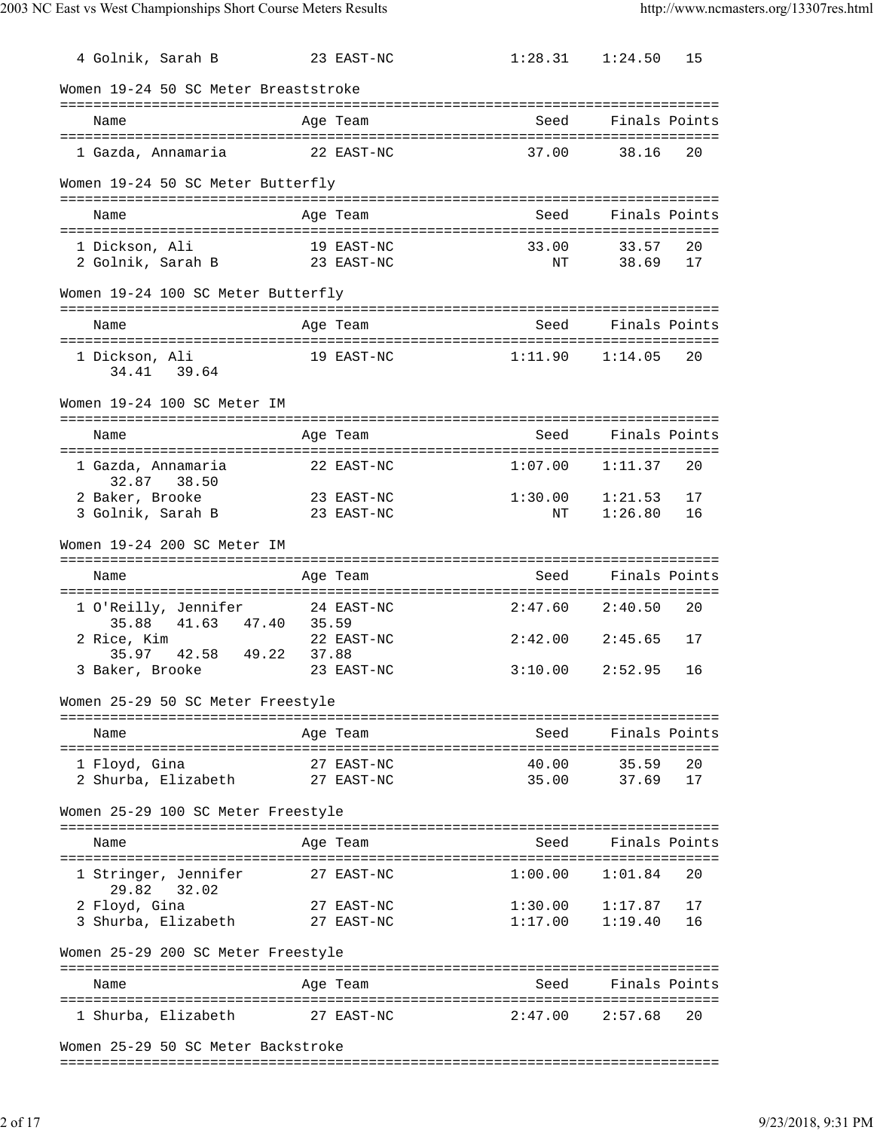| 4 Golnik, Sarah B                            | 23 EAST-NC               | $1:28.31$ $1:24.50$ | 15                             |
|----------------------------------------------|--------------------------|---------------------|--------------------------------|
| Women 19-24 50 SC Meter Breaststroke         |                          |                     |                                |
| Name                                         | Age Team                 | Seed                | Finals Points                  |
| 1 Gazda, Annamaria                           | 22 EAST-NC               | 37.00               | 38.16<br>20                    |
|                                              |                          |                     |                                |
| Women 19-24 50 SC Meter Butterfly            |                          |                     |                                |
| Name                                         | Age Team                 | Seed                | Finals Points                  |
| 1 Dickson, Ali                               | 19 EAST-NC               | 33.00               | 33.57<br>20                    |
| 2 Golnik, Sarah B                            | 23 EAST-NC               | ΝT                  | 38.69<br>17                    |
| Women 19-24 100 SC Meter Butterfly           |                          |                     |                                |
| Name                                         | Age Team                 | Seed                | Finals Points                  |
| 1 Dickson, Ali                               | 19 EAST-NC               | 1:11.90             | 1:14.05<br>20                  |
| 34.41 39.64                                  |                          |                     |                                |
| Women 19-24 100 SC Meter IM                  |                          |                     |                                |
| Name                                         | Age Team                 | Seed                | Finals Points                  |
| 1 Gazda, Annamaria<br>32.87 38.50            | 22 EAST-NC               | 1:07.00             | 20<br>1:11.37                  |
| 2 Baker, Brooke                              | 23 EAST-NC               | 1:30.00             | 17<br>1:21.53                  |
| 3 Golnik, Sarah B                            | 23 EAST-NC               | NΤ                  | 1:26.80<br>16                  |
| Women 19-24 200 SC Meter IM                  |                          |                     |                                |
| Name                                         | Age Team                 | Seed                | Finals Points                  |
|                                              | 24 EAST-NC               | 2:47.60             | 2:40.50<br>20                  |
| 1 O'Reilly, Jennifer<br>35.88<br>41.63 47.40 | 35.59                    |                     |                                |
| 2 Rice, Kim<br>35.97 42.58 49.22             | 22 EAST-NC<br>37.88      | $2:42.00$ $2:45.65$ | 17                             |
| 3 Baker, Brooke                              | 23 EAST-NC               | 3:10.00             | 2:52.95<br>16                  |
| Women 25-29 50 SC Meter Freestyle            |                          |                     |                                |
| Name                                         | Age Team                 |                     | Seed Finals Points             |
|                                              |                          |                     |                                |
| 1 Floyd, Gina<br>2 Shurba, Elizabeth         | 27 EAST-NC<br>27 EAST-NC | 40.00<br>35.00      | 20<br>35.59<br>37.69<br>17     |
| Women 25-29 100 SC Meter Freestyle           |                          |                     |                                |
|                                              |                          |                     |                                |
| Name                                         | Age Team                 | Seed                | Finals Points                  |
| 1 Stringer, Jennifer<br>29.82<br>32.02       | 27 EAST-NC               | 1:00.00             | 1:01.84<br>20                  |
| 2 Floyd, Gina<br>3 Shurba, Elizabeth         | 27 EAST-NC<br>27 EAST-NC | 1:30.00<br>1:17.00  | 1:17.87<br>17<br>1:19.40<br>16 |
| Women 25-29 200 SC Meter Freestyle           |                          |                     |                                |
| Name                                         |                          | Seed                | Finals Points                  |
|                                              | Age Team                 |                     |                                |
| 1 Shurba, Elizabeth                          | 27 EAST-NC               | 2:47.00             | 2:57.68<br>20                  |
| Woman 25-29 50 50 Motor Pagkatroko           |                          |                     |                                |

Women 25-29 50 SC Meter Backstroke

===============================================================================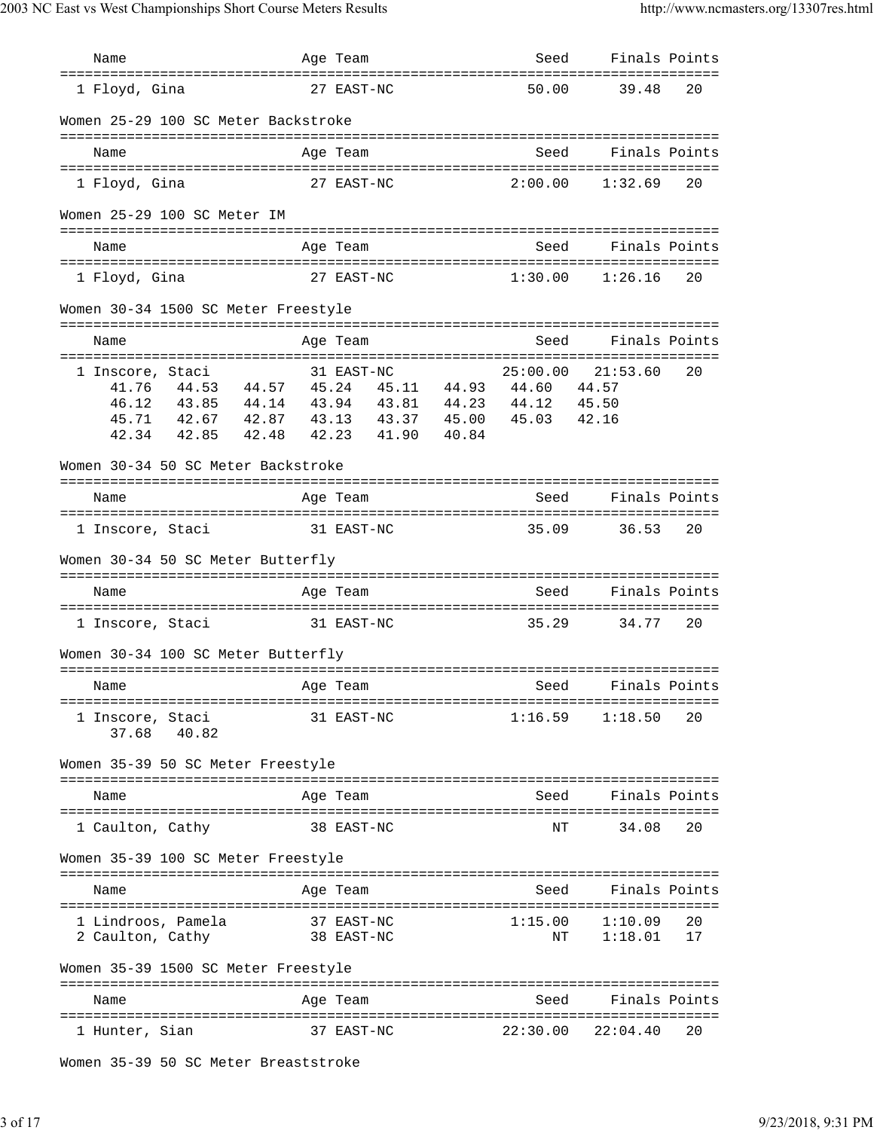| Name                                                                                                                                                                               |       | Age Team                 |       |       | Seed     | Finals Points                          |    |
|------------------------------------------------------------------------------------------------------------------------------------------------------------------------------------|-------|--------------------------|-------|-------|----------|----------------------------------------|----|
| =====================================<br>1 Floyd, Gina                                                                                                                             |       | 27 EAST-NC               |       |       | 50.00    | 39.48                                  | 20 |
| Women 25-29 100 SC Meter Backstroke                                                                                                                                                |       |                          |       |       |          |                                        |    |
| Name                                                                                                                                                                               |       | Age Team                 |       |       | Seed     | Finals Points                          |    |
| 1 Floyd, Gina                                                                                                                                                                      |       | 27 EAST-NC               |       |       | 2:00.00  | 1:32.69                                | 20 |
| Women 25-29 100 SC Meter IM                                                                                                                                                        |       |                          |       |       |          |                                        |    |
| Name                                                                                                                                                                               |       | Age Team                 |       |       | Seed     | Finals Points                          |    |
| 1 Floyd, Gina                                                                                                                                                                      |       | 27 EAST-NC               |       |       | 1:30.00  | 1:26.16                                | 20 |
| Women 30-34 1500 SC Meter Freestyle                                                                                                                                                |       |                          |       |       |          |                                        |    |
| Name                                                                                                                                                                               |       | Age Team                 |       |       | Seed     | Finals Points                          |    |
| 1 Inscore, Staci                                                                                                                                                                   |       | 31 EAST-NC               |       |       | 25:00.00 | 21:53.60                               | 20 |
| 41.76  44.53  44.57  45.24  45.11  44.93  44.60<br>46.12 43.85 44.14 43.94 43.81 44.23 44.12 45.50<br>45.71<br>42.67  42.87  43.13  43.37  45.00  45.03<br>42.34<br>42.85<br>42.48 | 42.23 |                          | 41.90 | 40.84 |          | 44.57<br>42.16                         |    |
|                                                                                                                                                                                    |       |                          |       |       |          |                                        |    |
| Women 30-34 50 SC Meter Backstroke                                                                                                                                                 |       |                          |       |       |          |                                        |    |
| Name                                                                                                                                                                               |       | Age Team                 |       |       | Seed     | Finals Points                          |    |
| 31 EAST-NC<br>1 Inscore, Staci                                                                                                                                                     |       |                          |       |       | 35.09    | 36.53                                  | 20 |
| Women 30-34 50 SC Meter Butterfly                                                                                                                                                  |       |                          |       |       |          |                                        |    |
| Name                                                                                                                                                                               |       | Age Team                 |       |       | Seed     | Finals Points                          |    |
| 31 EAST-NC<br>1 Inscore, Staci                                                                                                                                                     |       |                          |       |       | 35.29    | 34.77                                  | 20 |
| Women 30-34 100 SC Meter Butterfly                                                                                                                                                 |       |                          |       |       |          |                                        |    |
| Aqe Team<br>Name                                                                                                                                                                   |       |                          |       |       |          | Seed Finals Points                     |    |
| 1 Inscore, Staci<br>40.82<br>37.68                                                                                                                                                 |       | 31 EAST-NC               |       |       |          | $1:16.59$ $1:18.50$ 20                 |    |
| Women 35-39 50 SC Meter Freestyle                                                                                                                                                  |       |                          |       |       |          |                                        |    |
| Name                                                                                                                                                                               |       | Age Team                 |       |       | Seed     | Finals Points                          |    |
| 1 Caulton, Cathy                                                                                                                                                                   |       | 38 EAST-NC               |       |       | ΝT       | 34.08                                  | 20 |
| Women 35-39 100 SC Meter Freestyle                                                                                                                                                 |       |                          |       |       |          |                                        |    |
| Name                                                                                                                                                                               |       | Age Team                 |       |       |          | Seed Finals Points                     |    |
| 1 Lindroos, Pamela<br>2 Caulton, Cathy                                                                                                                                             |       | 37 EAST-NC<br>38 EAST-NC |       |       | ΝT       | $1:15.00$ $1:10.09$ 20<br>$1:18.01$ 17 |    |
| Women 35-39 1500 SC Meter Freestyle                                                                                                                                                |       |                          |       |       |          |                                        |    |
| Name                                                                                                                                                                               |       | Age Team                 |       |       | Seed     | Finals Points                          |    |
| 1 Hunter, Sian                                                                                                                                                                     |       | 37 EAST-NC               |       |       |          | $22:30.00$ $22:04.40$                  | 20 |

Women 35-39 50 SC Meter Breaststroke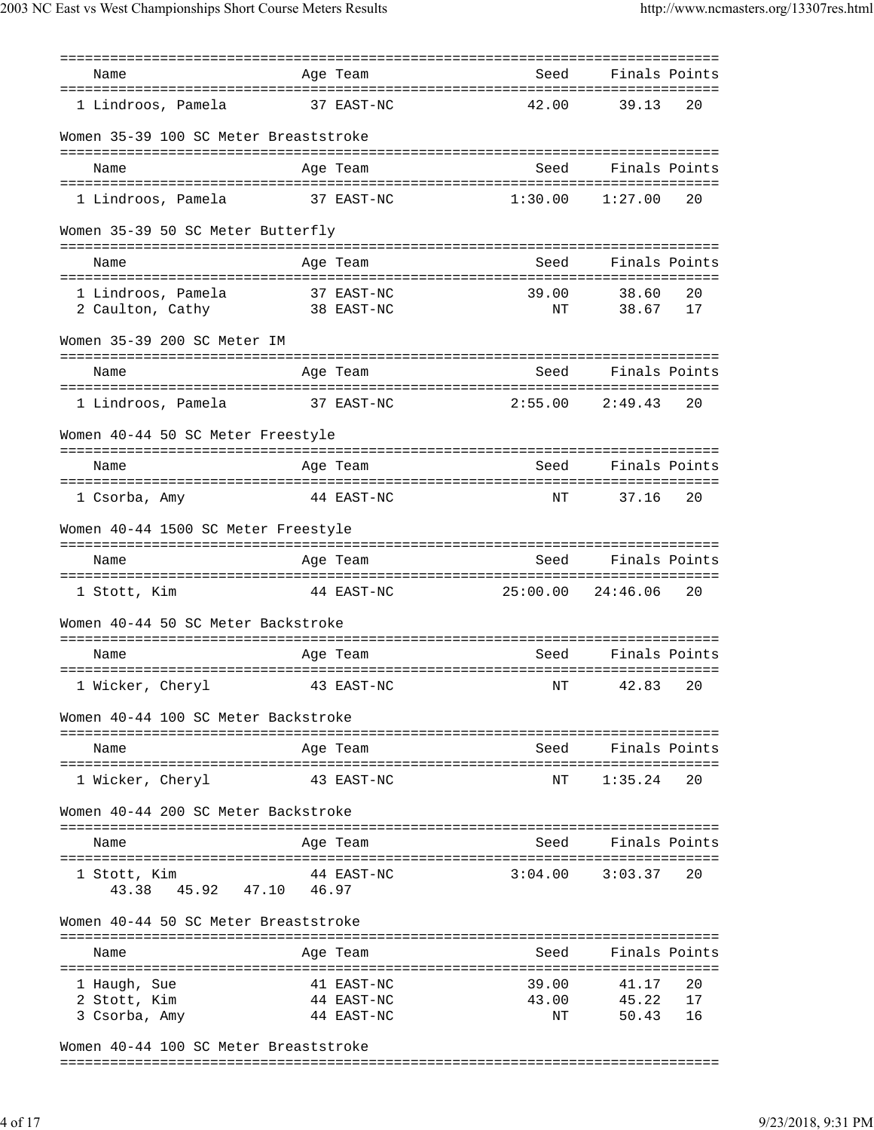| Name                                   | Age Team                 |            | Seed        | Finals Points      |          |
|----------------------------------------|--------------------------|------------|-------------|--------------------|----------|
| 1 Lindroos, Pamela                     |                          | 37 EAST-NC | 42.00       | 39.13              | 20       |
| Women 35-39 100 SC Meter Breaststroke  |                          |            |             |                    |          |
| Name                                   | Age Team                 |            | Seed        | Finals Points      |          |
| 1 Lindroos, Pamela                     | 37 EAST-NC               |            | 1:30.00     | 1:27.00            | 20       |
| Women 35-39 50 SC Meter Butterfly      |                          |            |             |                    |          |
| Name                                   | Age Team                 |            | Seed        | Finals Points      |          |
| 1 Lindroos, Pamela<br>2 Caulton, Cathy | 37 EAST-NC<br>38 EAST-NC |            | 39.00<br>ΝT | 38.60<br>38.67     | 20<br>17 |
| Women 35-39 200 SC Meter IM            |                          |            |             |                    |          |
|                                        |                          |            |             |                    |          |
| Name                                   | Age Team                 |            | Seed        | Finals Points      |          |
| 1 Lindroos, Pamela                     | 37 EAST-NC               |            | 2:55.00     | 2:49.43            | 20       |
| Women 40-44 50 SC Meter Freestyle      |                          |            |             |                    |          |
| Name                                   | Age Team                 |            | Seed        | Finals Points      |          |
|                                        |                          |            |             |                    |          |
| 1 Csorba, Amy                          |                          | 44 EAST-NC | NΤ          | 37.16              | 20       |
| Women 40-44 1500 SC Meter Freestyle    |                          |            |             |                    |          |
| Name                                   | Age Team                 |            | Seed        | Finals Points      |          |
| 1 Stott, Kim                           |                          | 44 EAST-NC | 25:00.00    | 24:46.06           | 20       |
| Women 40-44 50 SC Meter Backstroke     |                          |            |             |                    |          |
|                                        |                          |            |             |                    |          |
| Name                                   | Age Team                 |            | Seed        | Finals Points      |          |
| 1 Wicker, Cheryl                       |                          | 43 EAST-NC | $\rm{NT}$   | 42.83              | 20       |
| Women 40-44 100 SC Meter Backstroke    |                          |            |             |                    |          |
| Name                                   | Age Team                 |            |             | Seed Finals Points |          |
| 1 Wicker, Cheryl                       |                          | 43 EAST-NC | ΝT          | 1:35.24            | 20       |
| Women 40-44 200 SC Meter Backstroke    |                          |            |             |                    |          |
| Name                                   | Age Team                 |            | Seed        | Finals Points      |          |
| 1 Stott, Kim                           |                          | 44 EAST-NC | 3:04.00     | 3:03.37            | 20       |
| 43.38 45.92 47.10                      | 46.97                    |            |             |                    |          |
| Women 40-44 50 SC Meter Breaststroke   |                          |            |             |                    |          |
| Name<br>.                              | Age Team                 |            | Seed        | Finals Points      |          |
| 1 Haugh, Sue                           |                          | 41 EAST-NC | 39.00       | 41.17              | 20       |
| 2 Stott, Kim                           |                          | 44 EAST-NC | 43.00       | 45.22              | 17       |
| 3 Csorba, Amy                          |                          | 44 EAST-NC | ΝT          | 50.43              | 16       |
| Women 40-44 100 SC Meter Breaststroke  |                          |            |             |                    |          |

Women 40-44 100 SC Meter Breaststroke

===============================================================================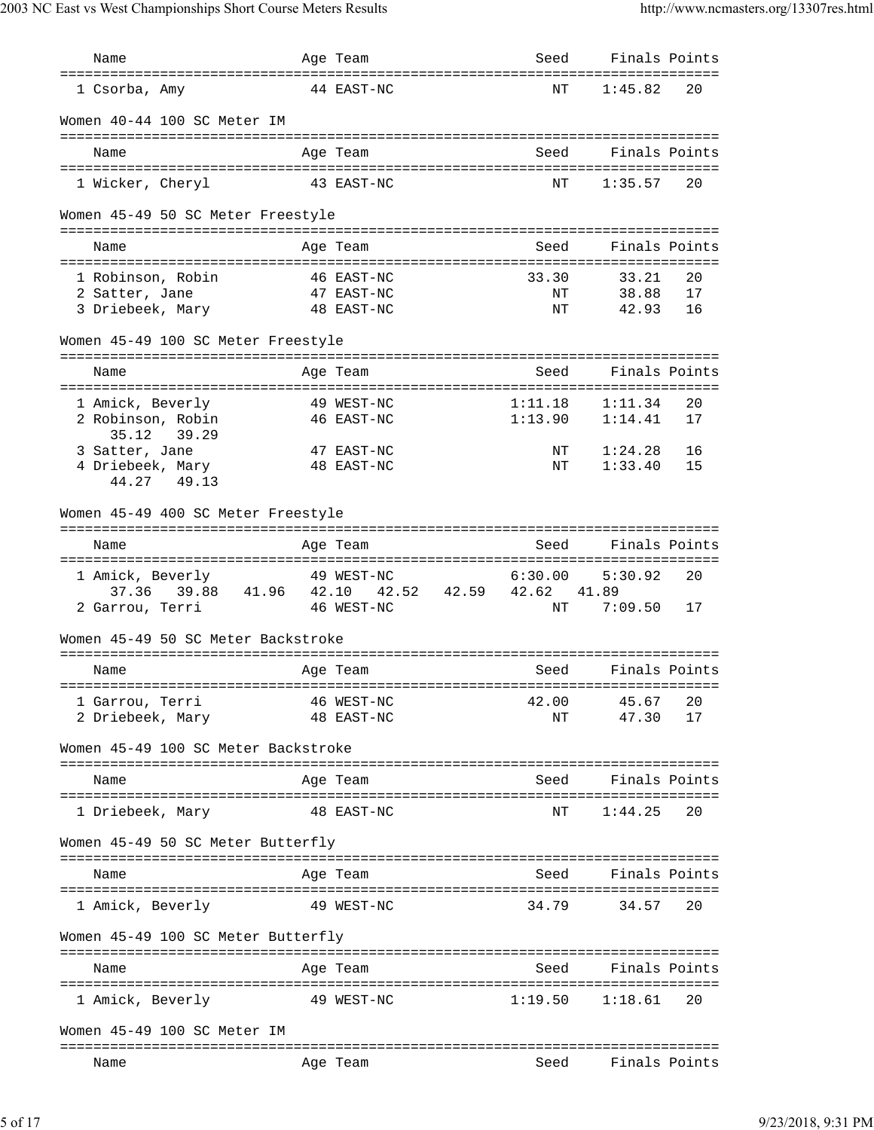| Name                                       | Age Team                        | Seed              | Finals Points             |    |
|--------------------------------------------|---------------------------------|-------------------|---------------------------|----|
| 1 Csorba, Amy                              | 44 EAST-NC                      | NΤ                | 1:45.82                   | 20 |
| Women 40-44 100 SC Meter IM                |                                 |                   |                           |    |
| Name                                       | Age Team                        | Seed              | Finals Points             |    |
| 1 Wicker, Cheryl                           | 43 EAST-NC                      | NΤ                | 1:35.57                   | 20 |
| Women 45-49 50 SC Meter Freestyle          |                                 |                   |                           |    |
| Name                                       | Age Team                        | Seed              | Finals Points             |    |
| 1 Robinson, Robin                          | 46 EAST-NC                      | 33.30             | 33.21                     | 20 |
| 2 Satter, Jane                             | 47 EAST-NC                      | NΤ                | 38.88                     | 17 |
| 3 Driebeek, Mary                           | 48 EAST-NC                      | NΤ                | 42.93                     | 16 |
| Women 45-49 100 SC Meter Freestyle         |                                 |                   |                           |    |
| Name                                       | Age Team                        | Seed              | Finals Points             |    |
| 1 Amick, Beverly                           | 49 WEST-NC                      | 1:11.18           | 1:11.34                   | 20 |
| 2 Robinson, Robin                          | 46 EAST-NC                      |                   | $1:13.90$ $1:14.41$       | 17 |
| 35.12<br>39.29<br>3 Satter, Jane           | 47 EAST-NC                      | ΝT                | 1:24.28                   | 16 |
| 4 Driebeek, Mary                           | 48 EAST-NC                      | ΝT                | 1:33.40                   | 15 |
| 44.27 49.13                                |                                 |                   |                           |    |
| Women 45-49 400 SC Meter Freestyle         |                                 |                   |                           |    |
| Name                                       | Age Team                        | Seed              | Finals Points             |    |
| 1 Amick, Beverly                           | 49 WEST-NC                      | 6:30.00           | 5:30.92                   | 20 |
| 37.36 39.88 41.96 42.10                    | 42.52 42.59 42.62<br>46 WEST-NC | ΝT                | 41.89<br>7:09.50          | 17 |
| 2 Garrou, Terri                            |                                 |                   |                           |    |
| Women 45-49 50 SC Meter Backstroke         |                                 |                   |                           |    |
| Name                                       | Age Team                        | Seed              | Finals Points             |    |
| 1 Garrou, Terri                            | 46 WEST-NC                      | 42.00             | 45.67                     | 20 |
| 2 Driebeek, Mary                           | 48 EAST-NC                      | ΝT                | 47.30                     | 17 |
| Women 45-49 100 SC Meter Backstroke        |                                 | =============     |                           |    |
| Name                                       | Age Team                        | Seed              | Finals Points             |    |
| ======================<br>1 Driebeek, Mary | 48 EAST-NC                      | ========<br>ΝT    | 1:44.25                   | 20 |
| Women 45-49 50 SC Meter Butterfly          |                                 |                   |                           |    |
| Name                                       | Age Team                        | Seed              | Finals Points             |    |
| 1 Amick, Beverly                           | 49 WEST-NC                      | 34.79             | 34.57                     | 20 |
| Women 45-49 100 SC Meter Butterfly         |                                 |                   |                           |    |
|                                            |                                 |                   |                           |    |
| Name                                       | Age Team                        | Seed<br>========= | Finals Points<br>======== |    |
| 1 Amick, Beverly                           | 49 WEST-NC                      | 1:19.50           | 1:18.61                   | 20 |
| Women 45-49 100 SC Meter IM                |                                 |                   |                           |    |
| Name                                       | Age Team                        | Seed              | Finals Points             |    |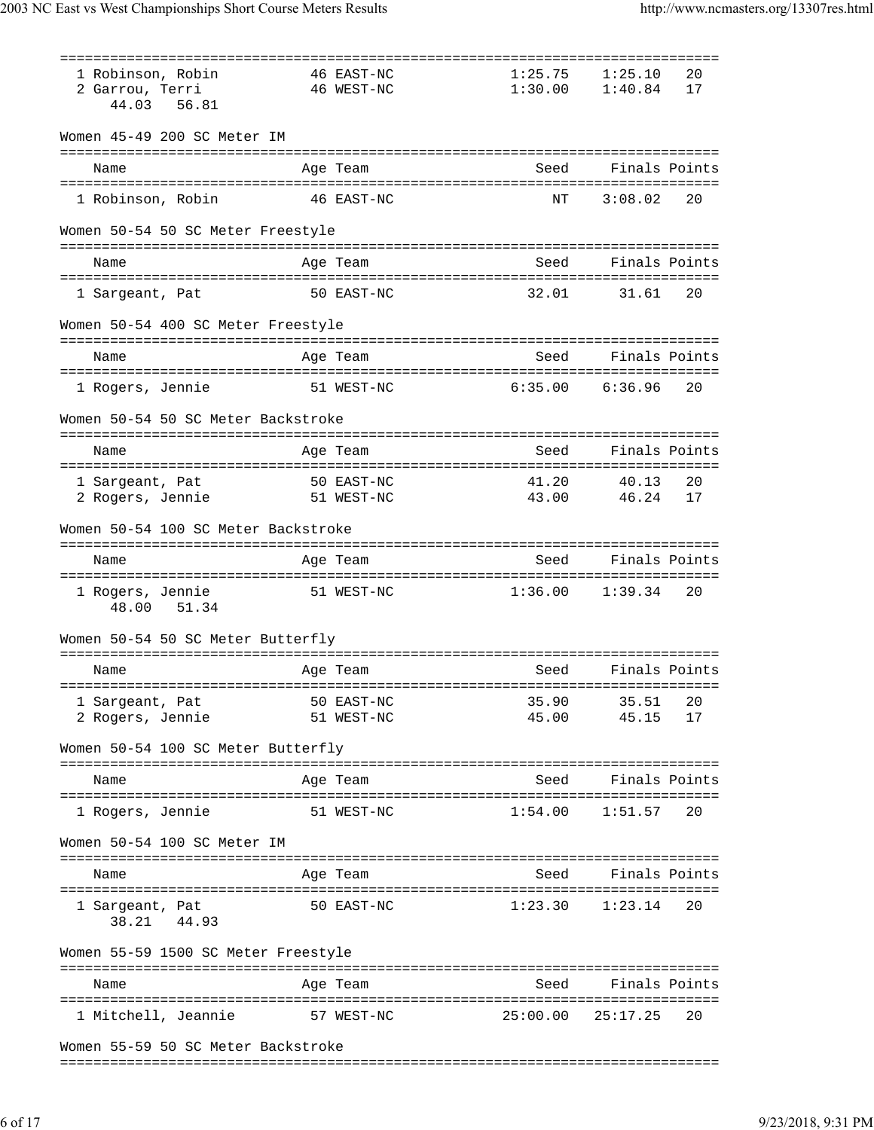| 1 Robinson, Robin<br>2 Garrou, Terri<br>44.03<br>56.81 | 46 EAST-NC<br>46 WEST-NC    | 1:25.75<br>1:30.00               | 20<br>1:25.10<br>1:40.84<br>17 |
|--------------------------------------------------------|-----------------------------|----------------------------------|--------------------------------|
| Women 45-49 200 SC Meter IM                            |                             |                                  |                                |
| Name                                                   | Age Team                    | Seed                             | Finals Points                  |
| 1 Robinson, Robin                                      | 46 EAST-NC                  | NΤ                               | 3:08.02<br>20                  |
| Women 50-54 50 SC Meter Freestyle                      |                             |                                  |                                |
| Name                                                   | Age Team                    | Seed                             | Finals Points                  |
|                                                        |                             | 32.01                            |                                |
| 1 Sargeant, Pat                                        | 50 EAST-NC                  |                                  | 31.61<br>20                    |
| Women 50-54 400 SC Meter Freestyle                     |                             |                                  |                                |
| Name                                                   | Age Team                    | Seed                             | Finals Points                  |
| 1 Rogers, Jennie                                       | 51 WEST-NC                  | 6:35.00                          | 6:36.96<br>20                  |
| Women 50-54 50 SC Meter Backstroke                     |                             |                                  |                                |
| Name                                                   | Age Team                    | Seed                             | Finals Points                  |
| 1 Sargeant, Pat                                        | 50 EAST-NC                  | 41.20                            | 40.13<br>20                    |
| 2 Rogers, Jennie                                       | 51 WEST-NC                  | 43.00                            | 46.24<br>17                    |
| Women 50-54 100 SC Meter Backstroke                    |                             |                                  |                                |
| Name                                                   | Age Team                    | Seed                             | Finals Points                  |
| 1 Rogers, Jennie<br>48.00<br>51.34                     | 51 WEST-NC                  | 1:36.00                          | 1:39.34<br>20                  |
| Women 50-54 50 SC Meter Butterfly                      |                             |                                  |                                |
| Name                                                   | Age Team                    | Seed                             | Finals Points                  |
| 1 Sargeant, Pat                                        | =============<br>50 EAST-NC | :======================<br>35.90 | 35.51<br>20                    |
| 2 Rogers, Jennie                                       | 51 WEST-NC                  | 45.00                            | 45.15<br>17                    |
| Women 50-54 100 SC Meter Butterfly                     |                             |                                  |                                |
| Name                                                   | Age Team                    | Seed                             | Finals Points                  |
| 1 Rogers, Jennie                                       | 51 WEST-NC                  | 1:54.00                          | 1:51.57<br>20                  |
| Women 50-54 100 SC Meter IM                            |                             |                                  |                                |
|                                                        |                             |                                  | Seed Finals Points             |
| Name                                                   | Age Team                    |                                  |                                |
| 1 Sargeant, Pat<br>38.21 44.93                         | 50 EAST-NC                  |                                  | $1:23.30$ $1:23.14$<br>20      |
| Women 55-59 1500 SC Meter Freestyle                    |                             |                                  |                                |
| Name                                                   | Age Team                    | Seed                             | Finals Points                  |
| 1 Mitchell, Jeannie                                    | 57 WEST-NC                  | 25:00.00                         | 25:17.25<br>20                 |
| Women 55-59 50 SC Meter Backstroke                     |                             |                                  |                                |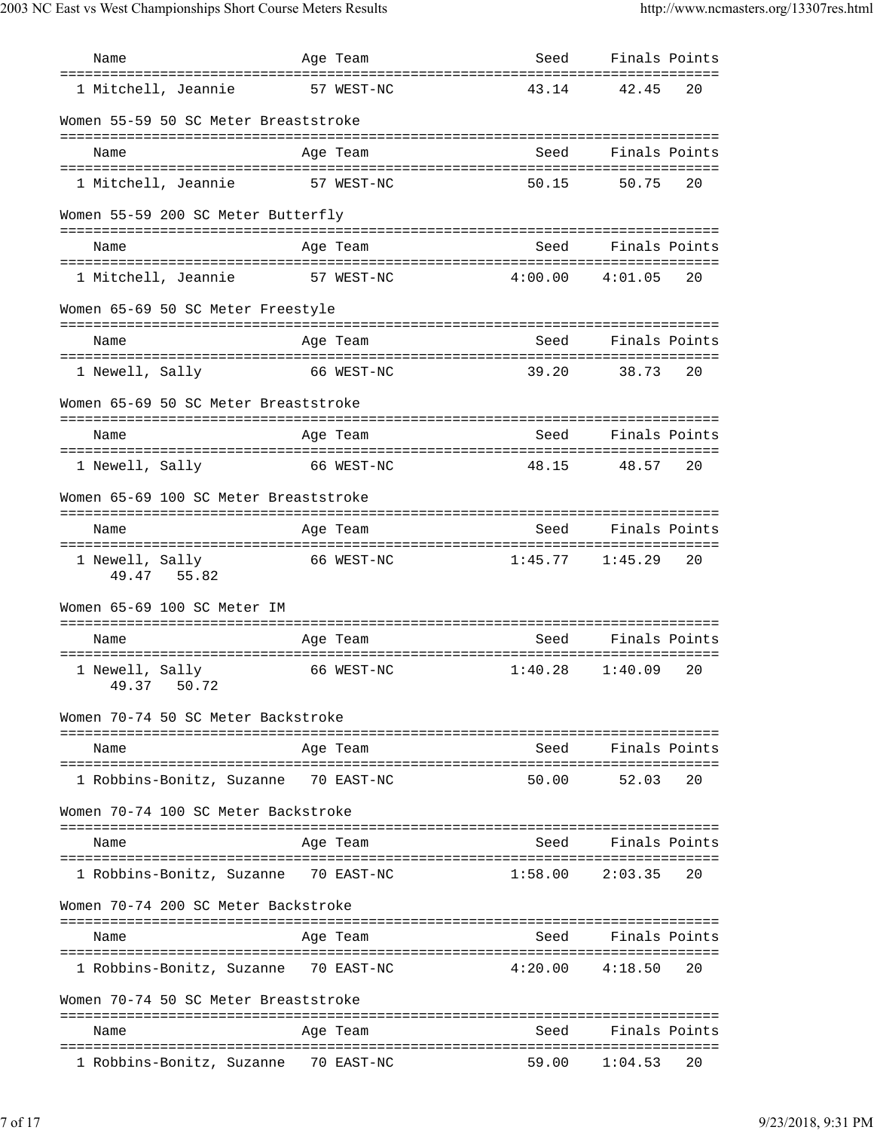| Name                                  | Age Team   | Seed                | Finals Points       |
|---------------------------------------|------------|---------------------|---------------------|
| 1 Mitchell, Jeannie                   | 57 WEST-NC | 43.14               | 42.45<br>20         |
| Women 55-59 50 SC Meter Breaststroke  |            |                     |                     |
| Name                                  | Age Team   | Seed                | Finals Points       |
| 1 Mitchell, Jeannie                   | 57 WEST-NC | 50.15               | 50.75<br>20         |
| Women 55-59 200 SC Meter Butterfly    |            |                     |                     |
| Name                                  | Age Team   | Seed                | Finals Points       |
| 1 Mitchell, Jeannie                   | 57 WEST-NC | 4:00.00             | 4:01.05<br>20       |
| Women 65-69 50 SC Meter Freestyle     |            |                     |                     |
|                                       |            | Seed                | Finals Points       |
| Name                                  | Age Team   |                     |                     |
| 1 Newell, Sally                       | 66 WEST-NC | 39.20               | 20<br>38.73         |
| Women 65-69 50 SC Meter Breaststroke  |            |                     |                     |
| Name                                  | Age Team   | Seed                | Finals Points       |
| 1 Newell, Sally                       | 66 WEST-NC | 48.15               | 48.57<br>20         |
| Women 65-69 100 SC Meter Breaststroke |            |                     |                     |
| Name                                  | Age Team   | Seed                | Finals Points       |
| 1 Newell, Sally<br>49.47 55.82        | 66 WEST-NC | $1:45.77$ $1:45.29$ | 20                  |
| Women 65-69 100 SC Meter IM           |            |                     |                     |
| Name                                  | Age Team   | Seed                | Finals Points       |
| 1 Newell, Sally<br>49.37 50.72        | 66 WEST-NC | 1:40.28             | 1:40.09<br>20       |
| Women 70-74 50 SC Meter Backstroke    |            |                     |                     |
| Name                                  | Age Team   | Seed                | Finals Points       |
| 1 Robbins-Bonitz, Suzanne 70 EAST-NC  |            | 50.00               | 52.03<br>20         |
| Women 70-74 100 SC Meter Backstroke   |            |                     |                     |
| Name                                  | Age Team   | Seed                | Finals Points       |
| 1 Robbins-Bonitz, Suzanne 70 EAST-NC  |            | 1:58.00             | 2:03.35<br>20       |
| Women 70-74 200 SC Meter Backstroke   |            |                     |                     |
| Name                                  | Age Team   |                     | Seed Finals Points  |
|                                       |            |                     |                     |
| 1 Robbins-Bonitz, Suzanne 70 EAST-NC  |            | $4:20.00$ $4:18.50$ | 20                  |
| Women 70-74 50 SC Meter Breaststroke  |            |                     |                     |
| Name                                  | Age Team   | Seed                | Finals Points       |
| 1 Robbins-Bonitz, Suzanne 70 EAST-NC  |            |                     | 59.00 1:04.53<br>20 |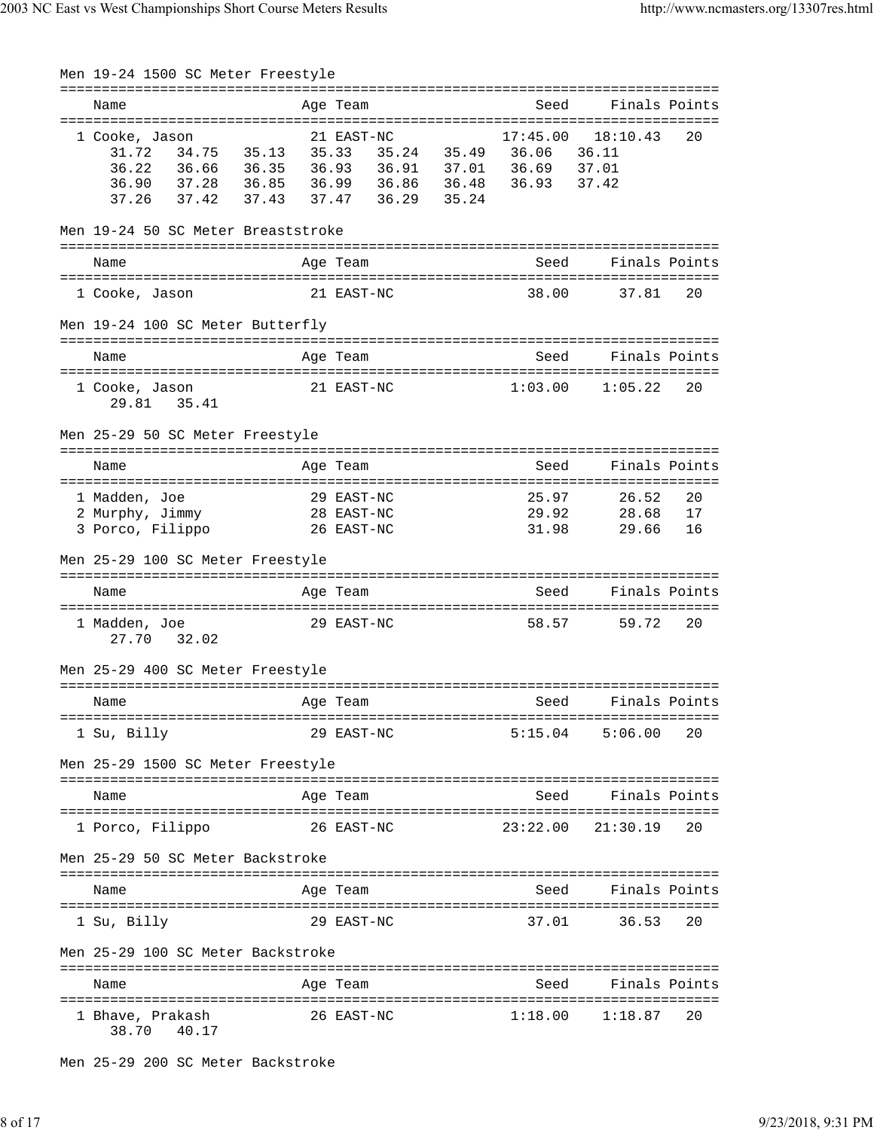| Men 19-24 1500 SC Meter Freestyle                                                                               |                      |                                        |                               |                                     |                |
|-----------------------------------------------------------------------------------------------------------------|----------------------|----------------------------------------|-------------------------------|-------------------------------------|----------------|
| Name                                                                                                            |                      | Age Team                               | Seed                          |                                     | Finals Points  |
| 1 Cooke, Jason<br>34.75<br>31.72<br>36.22<br>36.66 36.35<br>$37.28$ $36.85$<br>36.90<br>37.42<br>37.43<br>37.26 | 35.13 35.33<br>37.47 | 21 EAST-NC<br>36.29 35.24              | 17:45.00<br>35.24 35.49 36.06 | 18:10.43<br>36.11<br>37.01<br>37.42 | 20             |
| Men 19-24 50 SC Meter Breaststroke<br>Name                                                                      |                      | Age Team                               | Seed                          | Finals Points                       |                |
| 1 Cooke, Jason                                                                                                  |                      | 21 EAST-NC                             | 38.00                         | 37.81                               | 20             |
| Men 19-24 100 SC Meter Butterfly                                                                                |                      |                                        |                               |                                     |                |
| Name                                                                                                            |                      | Age Team                               | Seed                          | Finals Points                       |                |
| 1 Cooke, Jason<br>29.81 35.41                                                                                   |                      | 21 EAST-NC                             | 1:03.00                       | 1:05.22                             | 20             |
| Men 25-29 50 SC Meter Freestyle                                                                                 |                      |                                        |                               |                                     |                |
| Name                                                                                                            |                      | Age Team                               | Seed                          | Finals Points                       |                |
| 1 Madden, Joe<br>2 Murphy, Jimmy<br>3 Porco, Filippo                                                            |                      | 29 EAST-NC<br>28 EAST-NC<br>26 EAST-NC | 25.97<br>29.92<br>31.98       | 26.52<br>28.68<br>29.66             | 20<br>17<br>16 |
| Men 25-29 100 SC Meter Freestyle                                                                                |                      |                                        |                               |                                     |                |
| Name                                                                                                            |                      | Age Team                               | Seed                          |                                     | Finals Points  |
| 1 Madden, Joe<br>27.70<br>32.02                                                                                 |                      | 29 EAST-NC                             | 58.57                         | 59.72                               | 20             |
| Men 25-29 400 SC Meter Freestyle                                                                                |                      |                                        |                               |                                     |                |
| Name                                                                                                            |                      | Age Team                               | Seed                          |                                     | Finals Points  |
| 1 Su, Billy                                                                                                     |                      | 29 EAST-NC                             | 5:15.04                       | 5:06.00                             | 20             |
| Men 25-29 1500 SC Meter Freestyle                                                                               |                      |                                        |                               |                                     |                |
| Name                                                                                                            |                      | Age Team                               | Seed                          | Finals Points                       |                |
| 1 Porco, Filippo                                                                                                |                      | 26 EAST-NC                             | 23:22.00                      | 21:30.19                            | 20             |
| Men 25-29 50 SC Meter Backstroke                                                                                |                      |                                        |                               |                                     |                |
| Name                                                                                                            |                      | Age Team                               | Seed                          | Finals Points                       |                |
| 1 Su, Billy                                                                                                     |                      | 29 EAST-NC                             | 37.01                         | 36.53                               | 20             |
| Men 25-29 100 SC Meter Backstroke                                                                               |                      |                                        |                               |                                     |                |
| Name                                                                                                            |                      | Age Team                               | Seed                          | Finals Points                       |                |
| 1 Bhave, Prakash<br>38.70 40.17                                                                                 |                      | 26 EAST-NC                             | 1:18.00                       | 1:18.87                             | 20             |

Men 25-29 200 SC Meter Backstroke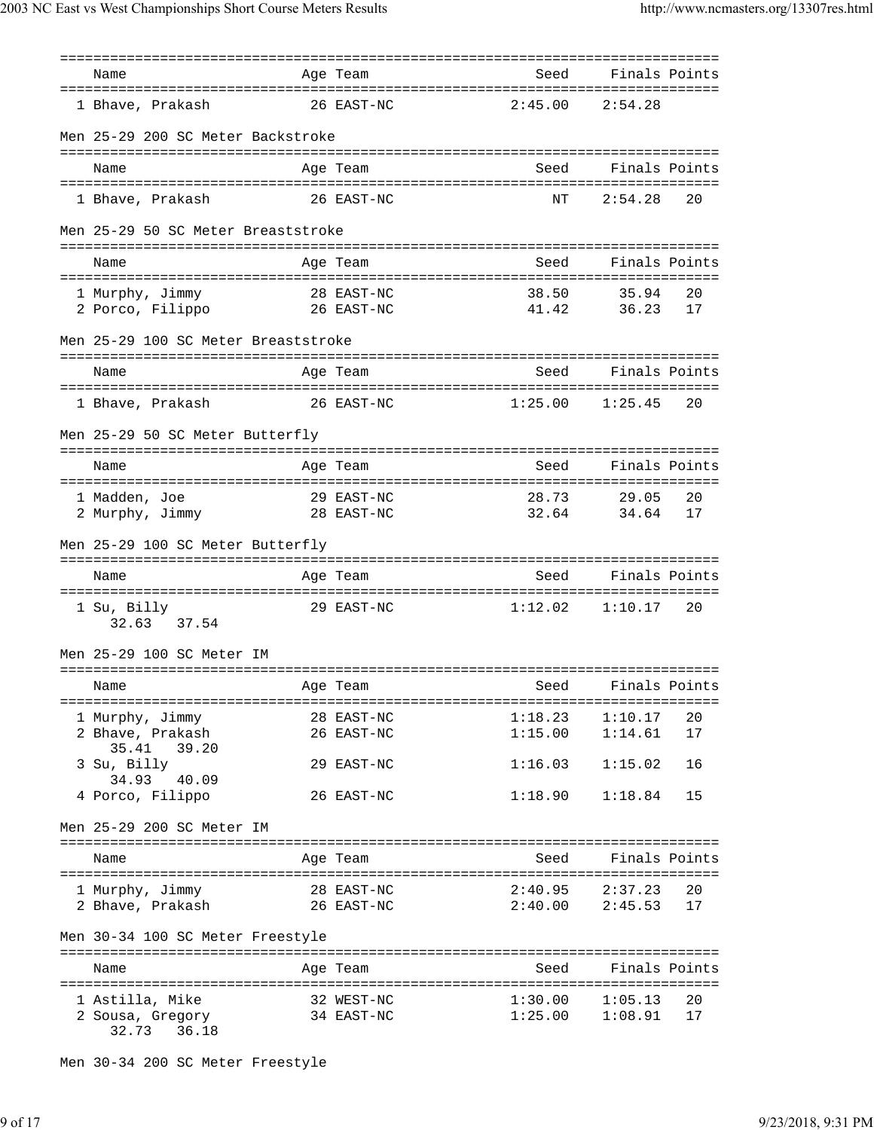| Name                                                      | Age Team                     | Seed                                             | Finals Points  |          |
|-----------------------------------------------------------|------------------------------|--------------------------------------------------|----------------|----------|
| 1 Bhave, Prakash                                          | 26 EAST-NC                   | 2:45.00                                          | 2:54.28        |          |
| Men 25-29 200 SC Meter Backstroke                         |                              |                                                  |                |          |
| Name                                                      | Age Team                     | Seed                                             | Finals Points  |          |
| 1 Bhave, Prakash                                          | 26 EAST-NC                   | NΤ                                               | 2:54.28        | 20       |
| Men 25-29 50 SC Meter Breaststroke                        |                              |                                                  |                |          |
| Name                                                      | Age Team                     | Seed                                             | Finals Points  |          |
| 1 Murphy, Jimmy                                           | 28 EAST-NC                   | 38.50                                            | 35.94          | 20       |
| 2 Porco, Filippo<br>26 EAST-NC                            |                              | 41.42                                            | 36.23          | 17       |
| Men 25-29 100 SC Meter Breaststroke                       |                              |                                                  |                |          |
| Name                                                      | Age Team                     | Seed                                             | Finals Points  |          |
| 1 Bhave, Prakash                                          | 26 EAST-NC                   | 1:25.00                                          | 1:25.45        | 20       |
| Men 25-29 50 SC Meter Butterfly                           |                              |                                                  |                |          |
| Name                                                      | Age Team                     | Seed                                             | Finals Points  |          |
|                                                           |                              |                                                  |                |          |
| 1 Madden, Joe<br>2 Murphy, Jimmy                          | 29 EAST-NC<br>28 EAST-NC     | 28.73<br>32.64                                   | 29.05<br>34.64 | 20<br>17 |
| Men 25-29 100 SC Meter Butterfly                          |                              |                                                  |                |          |
| Name                                                      | Age Team                     | Seed                                             | Finals Points  |          |
| 1 Su, Billy<br>32.63 37.54                                | 29 EAST-NC                   | 1:12.02                                          | 1:10.17        | 20       |
| Men 25-29 100 SC Meter IM                                 |                              |                                                  |                |          |
| Name                                                      | Age Team<br><u>seed Seed</u> |                                                  | Finals Points  |          |
| 1 Murphy, Jimmy                                           |                              | $1:18.23$ $1:10.17$ 20                           |                |          |
| 2 Bhave, Prakash<br>35.41 39.20                           | 28 EAST-NC<br>h 26 EAST-NC   | $1:15.00$ $1:14.61$                              |                | 17       |
| 3 Su, Billy                                               | 29 EAST-NC                   | $1:16.03$ $1:15.02$                              |                | 16       |
| 34.93 40.09<br>4 Porco, Filippo                           | 26 EAST-NC                   | $1:18.90$ $1:18.84$                              |                | 15       |
| Men 25-29 200 SC Meter IM                                 |                              |                                                  |                |          |
|                                                           |                              | Seed                                             | Finals Points  |          |
| Name                                                      | Age Team                     |                                                  |                |          |
| 1 Murphy, Jimmy 28 EAST-NC<br>2 Bhave, Prakash 26 EAST-NC |                              | $2:40.95$ $2:37.23$ 20                           |                |          |
|                                                           |                              | $2:40.00$ $2:45.53$ 17                           |                |          |
| Men 30-34 100 SC Meter Freestyle                          |                              |                                                  |                |          |
| Name                                                      | Age Team                     | Seed                                             | Finals Points  |          |
| 1 Astilla, Mike 32 WEST-NC<br>2 Sousa, Gregory 34 EAST-NC |                              | $1:30.00$ $1:05.13$ 20<br>$1:25.00$ $1:08.91$ 17 |                |          |
| 32.73 36.18                                               |                              |                                                  |                |          |

Men 30-34 200 SC Meter Freestyle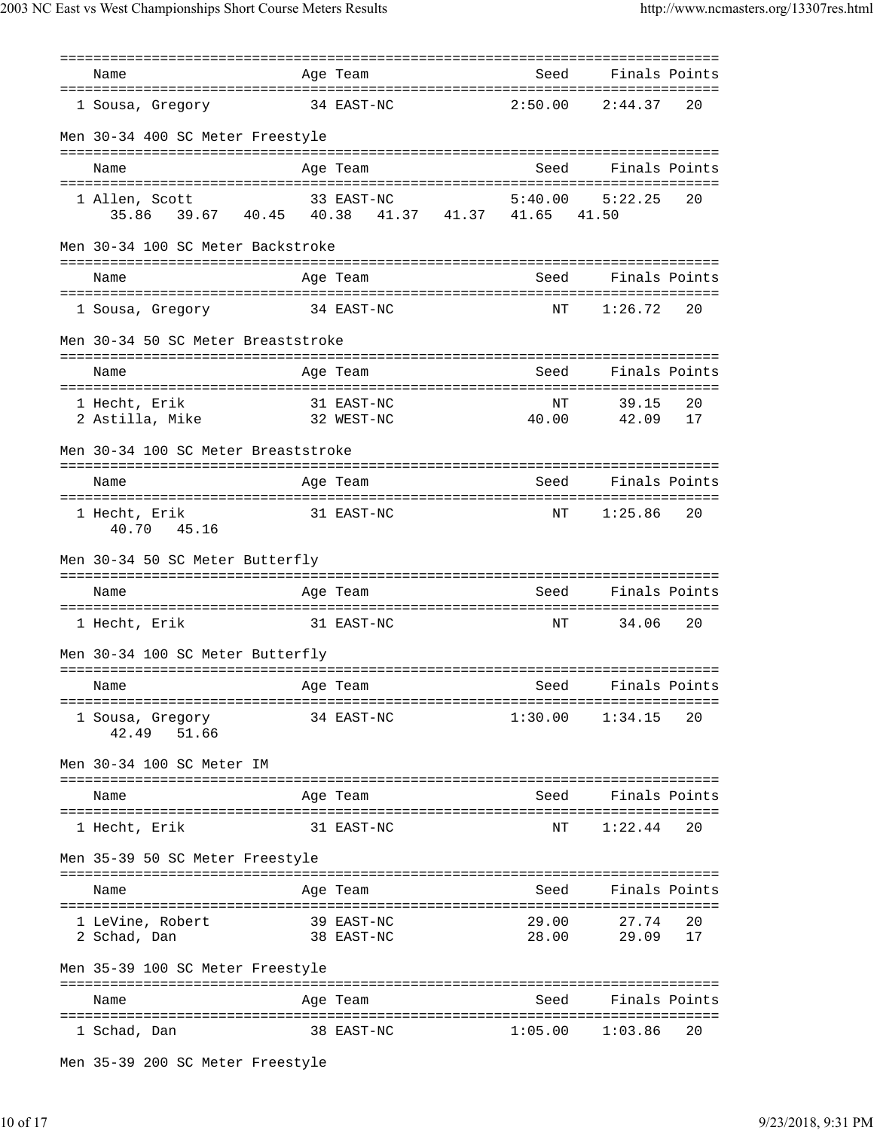| Name                                                              | Age Team                 |                     | Seed Finals Points                 |  |
|-------------------------------------------------------------------|--------------------------|---------------------|------------------------------------|--|
| 1 Sousa, Gregory                                                  | 34 EAST-NC               | 2:50.00             | 2:44.37<br>20                      |  |
| Men 30-34 400 SC Meter Freestyle                                  |                          |                     |                                    |  |
| Name                                                              | Age Team                 | Seed                | Finals Points                      |  |
| 1 Allen, Scott<br>35.86 39.67 40.45 40.38 41.37 41.37 41.65 41.50 | 33 EAST-NC               | 5:40.00             | 5:22.25<br>20                      |  |
| Men 30-34 100 SC Meter Backstroke                                 |                          |                     |                                    |  |
| Name                                                              | Age Team                 | Seed                | Finals Points                      |  |
| 34 EAST-NC<br>1 Sousa, Gregory                                    |                          | ΝT                  | 1:26.72<br>20                      |  |
| Men 30-34 50 SC Meter Breaststroke                                |                          |                     |                                    |  |
| Name                                                              | Age Team                 | Seed                | Finals Points                      |  |
| 1 Hecht, Erik<br>32 WEST-NC<br>2 Astilla, Mike                    | 31 EAST-NC               | NΤ<br>40.00         | 39.15<br>20<br>42.09<br>17         |  |
| Men 30-34 100 SC Meter Breaststroke                               |                          |                     |                                    |  |
| Name                                                              | Age Team                 | Seed                | Finals Points                      |  |
| 1 Hecht, Erik<br>40.70 45.16                                      | 31 EAST-NC               | ΝT                  | 1:25.86<br>20                      |  |
| Men 30-34 50 SC Meter Butterfly                                   |                          |                     |                                    |  |
| Name                                                              | Age Team                 | Seed                | Finals Points                      |  |
| 1 Hecht, Erik                                                     | 31 EAST-NC               | NΤ                  | 34.06<br>20                        |  |
| Men 30-34 100 SC Meter Butterfly                                  |                          |                     |                                    |  |
| Name                                                              | Age Team<br><u>seed</u>  |                     | Finals Points                      |  |
| l Sousa, Gregory<br>51.66<br>42.49                                | 34 EAST-NC               |                     | $1:30.00$ $1:34.15$ 20             |  |
| Men 30-34 100 SC Meter IM                                         |                          |                     |                                    |  |
| Name                                                              | Age Team                 | Seed                | Finals Points                      |  |
| 1 Hecht, Erik                                                     | 31 EAST-NC               | ΝT                  | 1:22.44<br>20                      |  |
| Men 35-39 50 SC Meter Freestyle                                   |                          |                     |                                    |  |
| Name                                                              | Age Team                 |                     | Seed Finals Points                 |  |
| 1 LeVine, Robert<br>2 Schad, Dan                                  | 39 EAST-NC<br>38 EAST-NC | 29.00               | 27.74<br>- 20<br>28.00 29.09<br>17 |  |
| Men 35-39 100 SC Meter Freestyle                                  |                          |                     |                                    |  |
| Name                                                              | Age Team                 | Seed                | Finals Points                      |  |
| 1 Schad, Dan                                                      | 38 EAST-NC               | $1:05.00$ $1:03.86$ | 20                                 |  |
|                                                                   |                          |                     |                                    |  |

Men 35-39 200 SC Meter Freestyle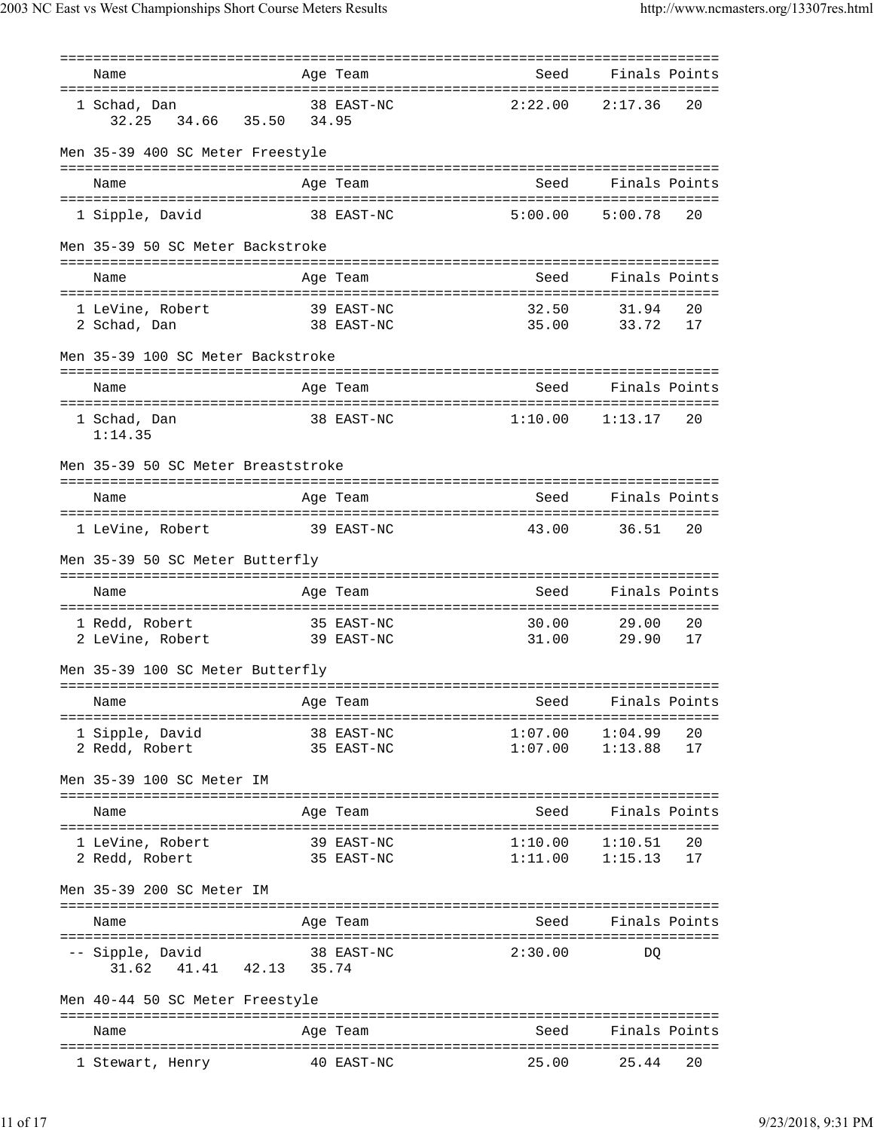| Name<br>=====================================           |       | Age Team                           | Seed                                | Finals Points                     |          |
|---------------------------------------------------------|-------|------------------------------------|-------------------------------------|-----------------------------------|----------|
| 1 Schad, Dan<br>32.25<br>34.66 35.50                    | 34.95 | 38 EAST-NC                         | 2:22.00                             | 2:17.36                           | 20       |
| Men 35-39 400 SC Meter Freestyle                        |       |                                    |                                     |                                   |          |
| Name                                                    |       | Age Team                           | Seed                                | Finals Points                     |          |
| 1 Sipple, David                                         |       | 38 EAST-NC                         | 5:00.00                             | 5:00.78                           | 20       |
| Men 35-39 50 SC Meter Backstroke                        |       |                                    |                                     |                                   |          |
| Name                                                    |       | Age Team                           | Seed                                | Finals Points                     |          |
| 1 LeVine, Robert<br>39 EAST-NC<br>2 Schad, Dan          |       | 38 EAST-NC                         | 32.50<br>35.00                      | 31.94<br>33.72                    | 20<br>17 |
| Men 35-39 100 SC Meter Backstroke                       |       |                                    |                                     |                                   |          |
| Name                                                    |       | Age Team                           | Seed                                | Finals Points                     |          |
| 1 Schad, Dan<br>1:14.35                                 |       | 38 EAST-NC                         | 1:10.00                             | 1:13.17                           | 20       |
| Men 35-39 50 SC Meter Breaststroke                      |       |                                    |                                     |                                   |          |
| Name                                                    |       | Age Team                           | Seed                                | Finals Points                     |          |
| 1 LeVine, Robert                                        |       | 39 EAST-NC                         | 43.00                               | 36.51                             | 20       |
| Men 35-39 50 SC Meter Butterfly                         |       |                                    |                                     |                                   |          |
| Name                                                    |       | Age Team                           | Seed                                | Finals Points                     |          |
|                                                         |       |                                    |                                     |                                   |          |
| 1 Redd, Robert<br>2 LeVine, Robert                      |       | 35 EAST-NC<br>39 EAST-NC           | 30.00<br>31.00                      | 29.00<br>29.90                    | 20<br>17 |
| Men 35-39 100 SC Meter Butterfly                        |       |                                    |                                     |                                   |          |
| Name                                                    |       | Age Team                           | ===========================<br>Seed | Finals Points                     |          |
| ====================================<br>1 Sipple, David |       | 38 EAST-NC                         | 1:07.00                             | 1:04.99                           | 20       |
| 2 Redd, Robert                                          |       | 35 EAST-NC                         | 1:07.00                             | 1:13.88                           | 17       |
| Men 35-39 100 SC Meter IM                               |       |                                    |                                     |                                   |          |
|                                                         |       |                                    |                                     |                                   |          |
| Name                                                    |       | Age Team                           | Seed                                | Finals Points                     |          |
| 1 LeVine, Robert<br>2 Redd, Robert                      |       | 39 EAST-NC<br>35 EAST-NC           | 1:10.00<br>1:11.00                  | 1:10.51<br>1:15.13                | 20<br>17 |
| Men 35-39 200 SC Meter IM                               |       |                                    |                                     |                                   |          |
|                                                         |       |                                    |                                     |                                   |          |
| Name<br>======================<br>:=============        |       | Age Team<br>====================== | Seed                                | Finals Points<br>================ |          |
| -- Sipple, David<br>41.41<br>42.13<br>31.62             | 35.74 | 38 EAST-NC                         | 2:30.00                             | DQ                                |          |
| Men 40-44 50 SC Meter Freestyle                         |       |                                    |                                     |                                   |          |
| Name                                                    |       | Age Team                           | Seed                                | Finals Points                     |          |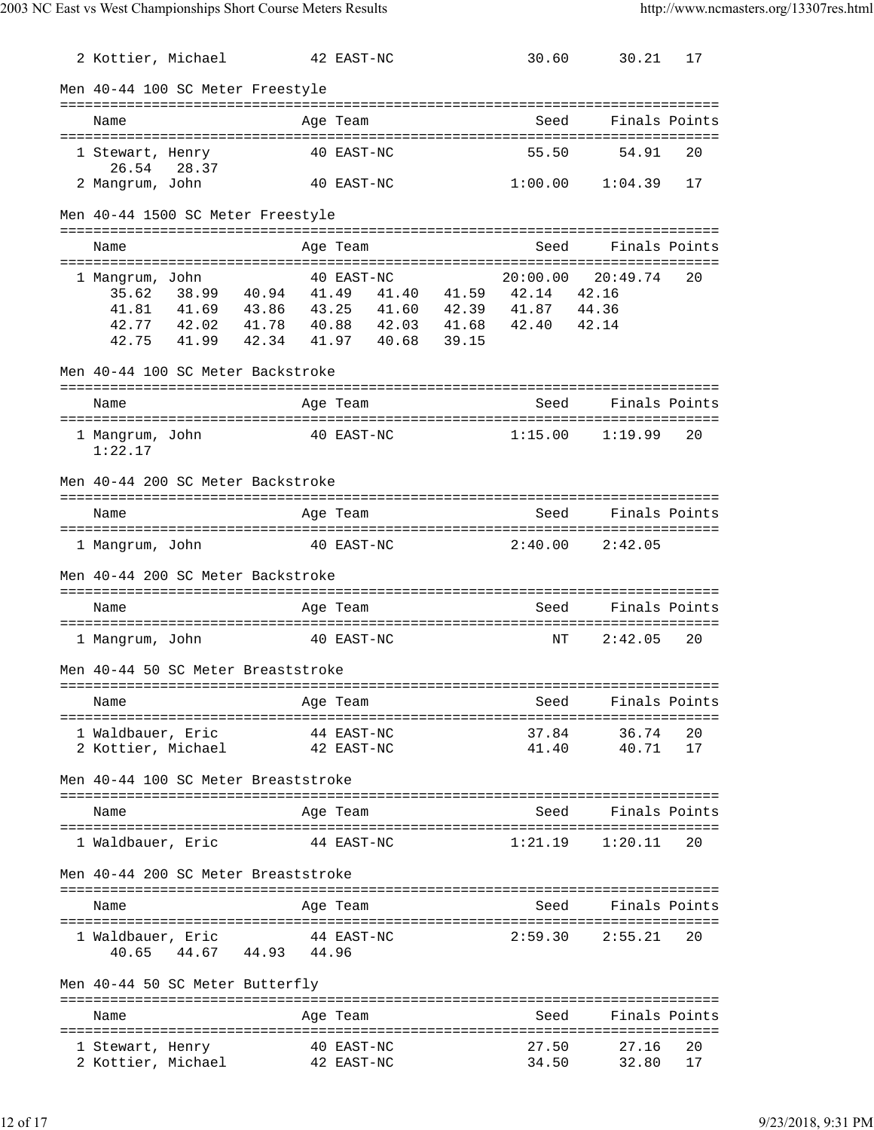| 2 Kottier, Michael                      |                |                                                                                                          | 42 EAST-NC |       |       | 30.60                                                | 30.21                               | 17            |
|-----------------------------------------|----------------|----------------------------------------------------------------------------------------------------------|------------|-------|-------|------------------------------------------------------|-------------------------------------|---------------|
|                                         |                | Men 40-44 100 SC Meter Freestyle                                                                         |            |       |       |                                                      |                                     |               |
| Name                                    |                |                                                                                                          | Age Team   |       |       | Seed                                                 |                                     | Finals Points |
| 1 Stewart, Henry<br>26.54               | 28.37          |                                                                                                          | 40 EAST-NC |       |       | 55.50                                                | 54.91                               | 20            |
| 2 Mangrum, John                         |                |                                                                                                          | 40 EAST-NC |       |       |                                                      | $1:00.00$ $1:04.39$                 | 17            |
|                                         |                | Men 40-44 1500 SC Meter Freestyle                                                                        |            |       |       |                                                      |                                     |               |
| Name                                    |                |                                                                                                          | Age Team   |       |       | Seed                                                 |                                     | Finals Points |
| 1 Mangrum, John<br>35.62<br>42.75       | 38.99<br>41.99 | 40.94 41.49<br>41.81  41.69  43.86  43.25<br>42.77 42.02 41.78 40.88 42.03 41.68 42.40<br>42.34<br>41.97 | 40 EAST-NC | 40.68 | 39.15 | 20:00.00<br>41.40 41.59 42.14<br>41.60  42.39  41.87 | 20:49.74<br>42.16<br>44.36<br>42.14 | 20            |
|                                         |                | Men 40-44 100 SC Meter Backstroke                                                                        |            |       |       |                                                      |                                     |               |
| Name                                    |                |                                                                                                          | Age Team   |       |       | Seed                                                 |                                     | Finals Points |
| 1 Mangrum, John<br>1:22.17              |                |                                                                                                          | 40 EAST-NC |       |       | 1:15.00                                              | 1:19.99                             | 20            |
|                                         |                | Men 40-44 200 SC Meter Backstroke                                                                        |            |       |       |                                                      |                                     |               |
| Name                                    |                |                                                                                                          | Age Team   |       |       | Seed                                                 |                                     | Finals Points |
| 1 Mangrum, John                         |                | 40 EAST-NC                                                                                               |            |       |       | 2:40.00                                              | 2:42.05                             |               |
|                                         |                | Men 40-44 200 SC Meter Backstroke                                                                        |            |       |       |                                                      |                                     |               |
| Name                                    |                |                                                                                                          | Age Team   |       |       | Seed                                                 |                                     | Finals Points |
| 1 Mangrum, John                         |                |                                                                                                          | 40 EAST-NC |       |       | NΤ                                                   | 2:42.05                             | 20            |
|                                         |                | Men 40-44 50 SC Meter Breaststroke                                                                       |            |       |       |                                                      |                                     |               |
| Name                                    |                |                                                                                                          | Age Team   |       |       | Seed                                                 | Finals Points                       |               |
| 1 Waldbauer, Eric<br>2 Kottier, Michael |                | ====================================<br>42 EAST-NC                                                       | 44 EAST-NC |       |       | ===========================<br>37.84<br>41.40        | 36.74<br>40.71                      | - 20<br>17    |
|                                         |                | Men 40-44 100 SC Meter Breaststroke                                                                      |            |       |       |                                                      |                                     |               |
| Name                                    |                |                                                                                                          | Age Team   |       |       | Seed                                                 | Finals Points                       |               |
| 1 Waldbauer, Eric                       |                |                                                                                                          | 44 EAST-NC |       |       | 1:21.19                                              | 1:20.11                             | 20            |
|                                         |                | Men 40-44 200 SC Meter Breaststroke                                                                      |            |       |       |                                                      |                                     |               |
| Name                                    |                |                                                                                                          | Age Team   |       |       |                                                      | Seed Finals Points                  |               |
| 1 Waldbauer, Eric<br>40.65              |                | 44 EAST-NC<br>44.67 44.93 44.96                                                                          |            |       |       |                                                      | $2:59.30$ $2:55.21$                 | 20            |
|                                         |                | Men 40-44 50 SC Meter Butterfly                                                                          |            |       |       |                                                      |                                     |               |
| Name                                    |                |                                                                                                          | Age Team   |       |       | Seed                                                 | Finals Points                       |               |
| 1 Stewart, Henry<br>2 Kottier, Michael  |                | 42 EAST-NC                                                                                               | 40 EAST-NC |       |       | 27.50<br>34.50                                       | 27.16<br>32.80                      | 20<br>17      |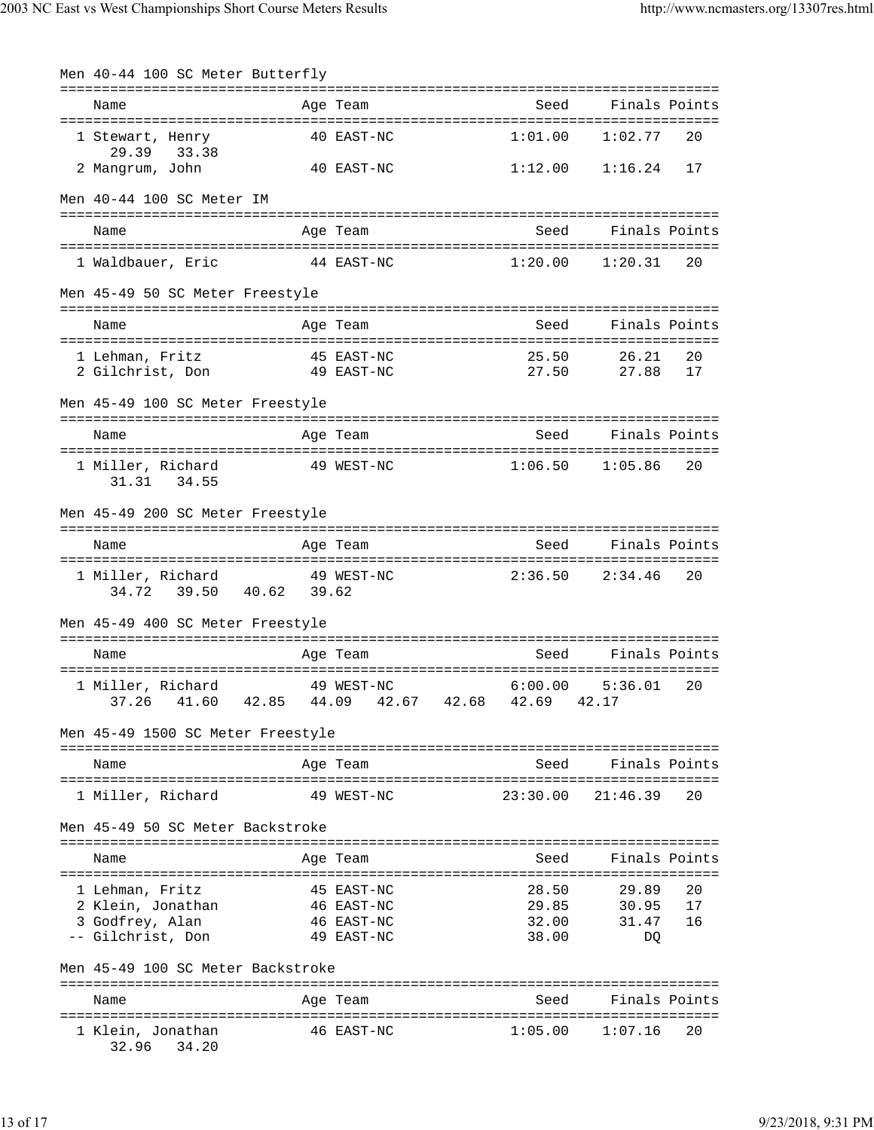|                                                  | Men 40-44 100 SC Meter Butterfly                                                              |  |                          |                                                |                            |  |  |
|--------------------------------------------------|-----------------------------------------------------------------------------------------------|--|--------------------------|------------------------------------------------|----------------------------|--|--|
|                                                  | Name                                                                                          |  | Age Team                 | Seed                                           | Finals Points              |  |  |
|                                                  | 1 Stewart, Henry<br>29.39 33.38                                                               |  | 40 EAST-NC               | 1:01.00                                        | 1:02.77<br>20              |  |  |
|                                                  | 2 Mangrum, John                                                                               |  | 40 EAST-NC               |                                                | $1:12.00$ $1:16.24$<br>17  |  |  |
|                                                  | Men 40-44 100 SC Meter IM                                                                     |  |                          |                                                |                            |  |  |
|                                                  | Name                                                                                          |  | Age Team                 | Seed                                           | Finals Points              |  |  |
|                                                  | 1 Waldbauer, Eric                                                                             |  | 44 EAST-NC               | 1:20.00                                        | $1:20.31$ 20               |  |  |
|                                                  | Men 45-49 50 SC Meter Freestyle                                                               |  |                          |                                                |                            |  |  |
|                                                  | Name                                                                                          |  | Age Team                 | Seed                                           | Finals Points              |  |  |
|                                                  | 1 Lehman, Fritz                       45 EAST-NC<br>2 Gilchrist, Don               49 EAST-NC |  |                          | 25.50<br>27.50                                 | 26.21<br>20<br>27.88<br>17 |  |  |
|                                                  | Men 45-49 100 SC Meter Freestyle                                                              |  |                          |                                                |                            |  |  |
|                                                  | Name                                                                                          |  | Age Team                 |                                                | Seed Finals Points         |  |  |
|                                                  | 1 Miller, Richard<br>31.31 34.55                                                              |  | 49 WEST-NC               | $1:06.50$ $1:05.86$                            | - 20                       |  |  |
|                                                  | Men 45-49 200 SC Meter Freestyle                                                              |  |                          |                                                |                            |  |  |
|                                                  | Name                                                                                          |  | Age Team                 |                                                | Seed Finals Points         |  |  |
|                                                  | 1 Miller, Richard 49 WEST-NC<br>34.72 39.50 40.62 39.62                                       |  |                          | 2:36.50                                        | 2:34.46<br>20              |  |  |
|                                                  | Men 45-49 400 SC Meter Freestyle                                                              |  |                          |                                                |                            |  |  |
|                                                  | Name                                                                                          |  | Age Team                 | Seed                                           | Finals Points              |  |  |
|                                                  | 1 Miller, Richard<br>37.26                                                                    |  | 49 WEST-NC               | 6:00.00<br>41.60 42.85 44.09 42.67 42.68 42.69 | 5:36.01<br>20<br>42.17     |  |  |
|                                                  | Men 45-49 1500 SC Meter Freestyle                                                             |  | ==================       |                                                |                            |  |  |
|                                                  | Name                                                                                          |  | Age Team                 | Seed                                           | Finals Points              |  |  |
|                                                  | 1 Miller, Richard                                                                             |  | 49 WEST-NC               | 23:30.00                                       | 21:46.39<br>20             |  |  |
|                                                  | Men 45-49 50 SC Meter Backstroke                                                              |  |                          |                                                |                            |  |  |
|                                                  | Name                                                                                          |  | Age Team                 | Seed                                           | Finals Points              |  |  |
|                                                  | 1 Lehman, Fritz<br>2 Klein, Jonathan                                                          |  | 45 EAST-NC<br>46 EAST-NC | 28.50<br>29.85                                 | 29.89<br>20<br>30.95<br>17 |  |  |
|                                                  | 3 Godfrey, Alan                                                                               |  | 46 EAST-NC               | 32.00                                          | 31.47<br>16                |  |  |
|                                                  | -- Gilchrist, Don                                                                             |  | 49 EAST-NC               | 38.00                                          | DQ                         |  |  |
| Men 45-49 100 SC Meter Backstroke<br>=========== |                                                                                               |  |                          |                                                |                            |  |  |
|                                                  | Name                                                                                          |  | Age Team                 | Seed                                           | Finals Points              |  |  |
|                                                  | 1 Klein, Jonathan<br>32.96<br>34.20                                                           |  | 46 EAST-NC               | 1:05.00                                        | 1:07.16<br>20              |  |  |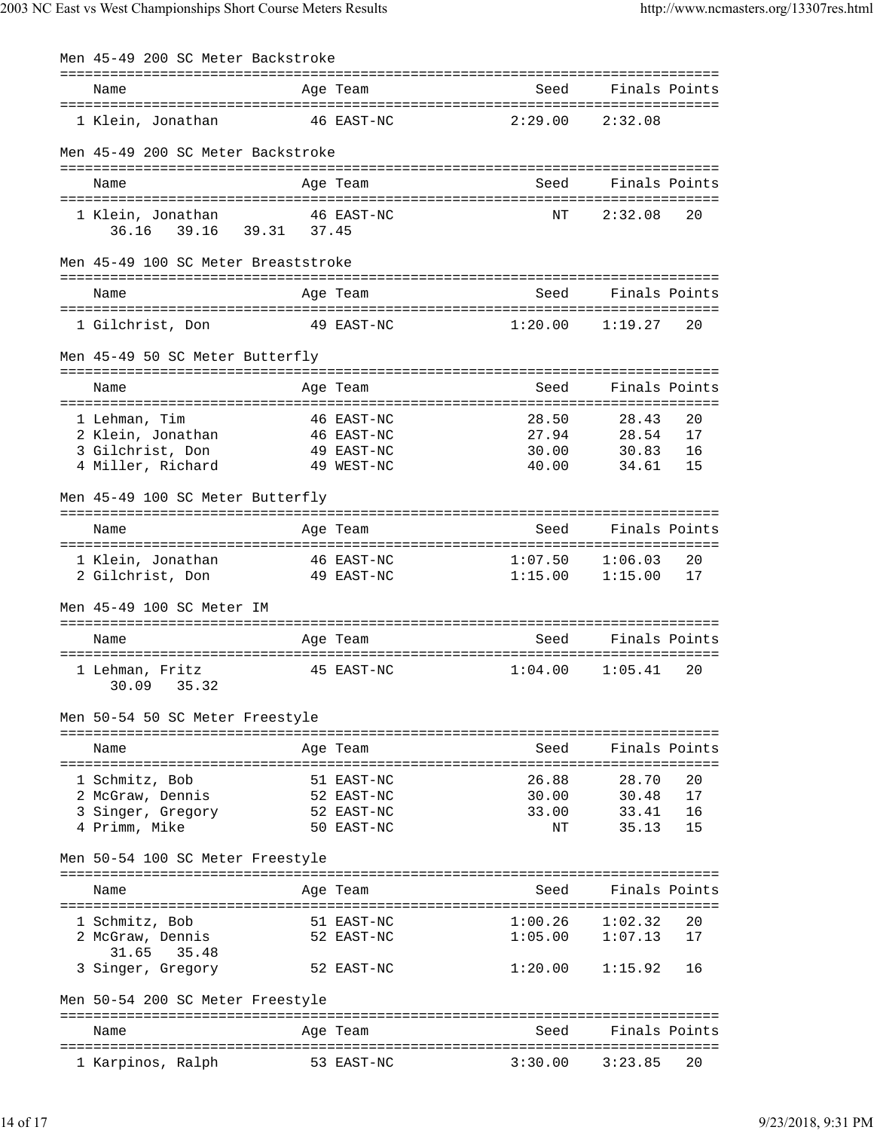| Men 45-49 200 SC Meter Backstroke            |                                                   |                     |                    |          |
|----------------------------------------------|---------------------------------------------------|---------------------|--------------------|----------|
| Name                                         | =====================================<br>Age Team | Seed                | Finals Points      |          |
|                                              |                                                   |                     |                    |          |
| 1 Klein, Jonathan                            | 46 EAST-NC                                        | 2:29.00             | 2:32.08            |          |
| Men 45-49 200 SC Meter Backstroke            |                                                   |                     |                    |          |
|                                              |                                                   |                     | Finals Points      |          |
| Name                                         | Age Team                                          | Seed                |                    |          |
| 1 Klein, Jonathan<br>36.16 39.16 39.31 37.45 | 46 EAST-NC                                        | ΝT                  | 2:32.08            | 20       |
| Men 45-49 100 SC Meter Breaststroke          |                                                   |                     |                    |          |
| Name                                         | Age Team                                          | Seed                | Finals Points      |          |
|                                              |                                                   |                     |                    |          |
| 1 Gilchrist, Don                             | 49 EAST-NC                                        | 1:20.00             | 1:19.27            | 20       |
| Men 45-49 50 SC Meter Butterfly              |                                                   |                     |                    |          |
| Name                                         | Age Team                                          | Seed                | Finals Points      |          |
|                                              |                                                   |                     |                    |          |
| 1 Lehman, Tim<br>2 Klein, Jonathan           | 46 EAST-NC<br>46 EAST-NC                          | 28.50<br>27.94      | 28.43<br>28.54     | 20<br>17 |
| 3 Gilchrist, Don                             | 49 EAST-NC                                        | 30.00               | 30.83              | 16       |
| 4 Miller, Richard                            | 49 WEST-NC                                        | 40.00               | 34.61              | 15       |
| Men 45-49 100 SC Meter Butterfly             |                                                   |                     |                    |          |
| Name                                         | Age Team                                          | Seed                | Finals Points      |          |
| 1 Klein, Jonathan                            | 46 EAST-NC                                        | 1:07.50             | 1:06.03            | 20       |
| 2 Gilchrist, Don                             | 49 EAST-NC                                        | $1:15.00$ $1:15.00$ |                    | 17       |
| Men 45-49 100 SC Meter IM                    |                                                   |                     |                    |          |
| Name                                         | Age Team                                          | Seed                | Finals Points      |          |
|                                              |                                                   |                     |                    |          |
| 1 Lehman, Fritz<br>30.09<br>35.32            | 45 EAST-NC                                        | 1:04.00             | 1:05.41            | 20       |
| Men 50-54 50 SC Meter Freestyle              |                                                   |                     |                    |          |
| Name                                         | ------------------------------------<br>Age Team  | Seed                | Finals Points      |          |
|                                              |                                                   |                     |                    |          |
| 1 Schmitz, Bob<br>2 McGraw, Dennis           | 51 EAST-NC<br>52 EAST-NC                          | 26.88<br>30.00      | 28.70<br>30.48     | 20<br>17 |
| 3 Singer, Gregory                            | 52 EAST-NC                                        | 33.00               | 33.41              | 16       |
| 4 Primm, Mike                                | 50 EAST-NC                                        | ΝT                  | 35.13              | 15       |
| Men 50-54 100 SC Meter Freestyle             |                                                   |                     |                    |          |
| Name                                         | Age Team                                          | Seed                | Finals Points      |          |
|                                              |                                                   |                     |                    |          |
| 1 Schmitz, Bob<br>2 McGraw, Dennis           | 51 EAST-NC<br>52 EAST-NC                          | 1:00.26<br>1:05.00  | 1:02.32<br>1:07.13 | 20<br>17 |
| 31.65<br>35.48                               |                                                   |                     |                    |          |
| 3 Singer, Gregory                            | 52 EAST-NC                                        | 1:20.00             | 1:15.92            | 16       |
| Men 50-54 200 SC Meter Freestyle             |                                                   |                     |                    |          |
|                                              |                                                   |                     |                    |          |
| Name                                         | Age Team                                          | Seed                | Finals Points      |          |
| 1 Karpinos, Ralph                            | 53 EAST-NC                                        | 3:30.00             | 3:23.85            | 20       |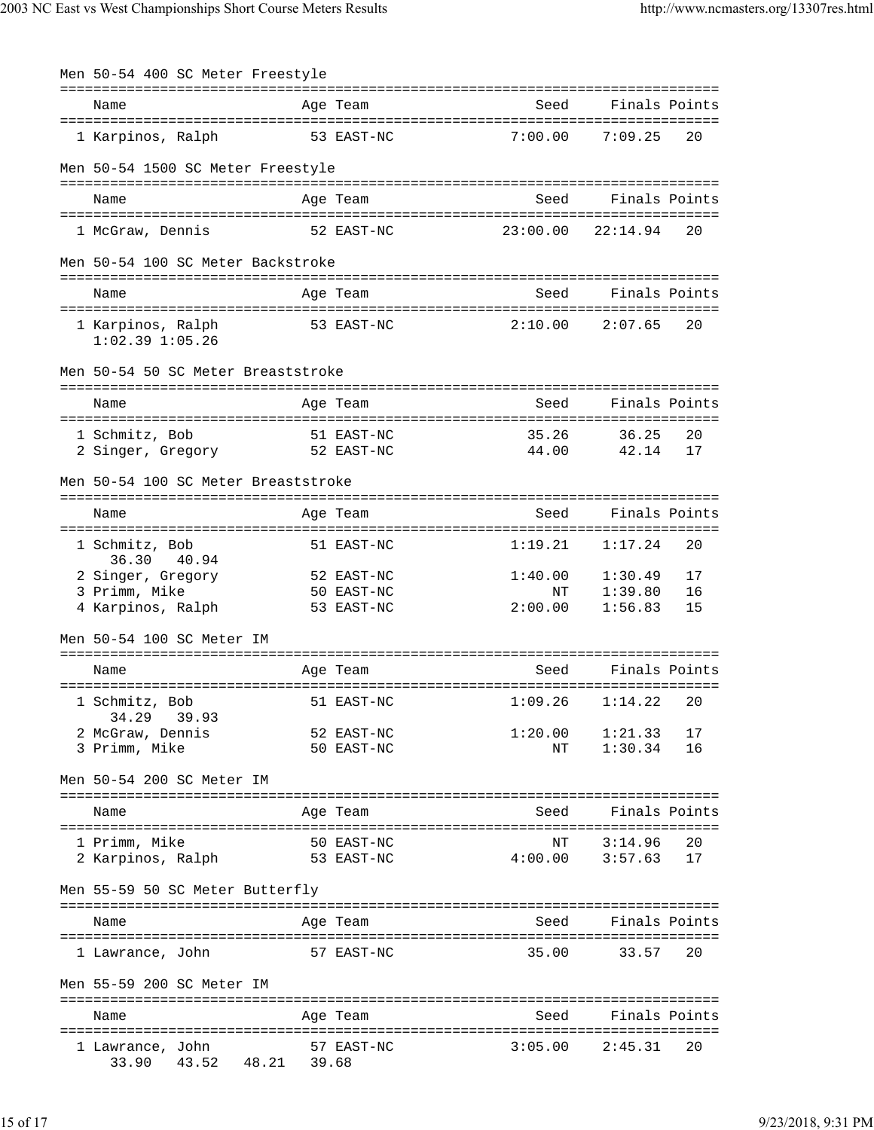| Men 50-54 400 SC Meter Freestyle                        |                                        |                          |                                                   |
|---------------------------------------------------------|----------------------------------------|--------------------------|---------------------------------------------------|
| Name                                                    | Age Team                               | Seed                     | ================================<br>Finals Points |
| 1 Karpinos, Ralph                                       | 53 EAST-NC                             | 7:00.00                  | 7:09.25<br>20                                     |
| Men 50-54 1500 SC Meter Freestyle                       |                                        |                          |                                                   |
| Name                                                    | Age Team                               | Seed                     | Finals Points                                     |
| 1 McGraw, Dennis                                        | 52 EAST-NC                             | $23:00.00$ $22:14.94$    | 20                                                |
| Men 50-54 100 SC Meter Backstroke                       |                                        |                          |                                                   |
| Name                                                    | Age Team                               | Seed                     | Finals Points                                     |
| 1 Karpinos, Ralph<br>$1:02.39$ $1:05.26$                | 53 EAST-NC                             | 2:10.00                  | 2:07.65<br>20                                     |
| Men 50-54 50 SC Meter Breaststroke                      |                                        |                          |                                                   |
| Name                                                    | Age Team                               | Seed                     | Finals Points                                     |
| 1 Schmitz, Bob<br>2 Singer, Gregory                     | 51 EAST-NC<br>52 EAST-NC               | 35.26<br>44.00           | 36.25<br>20<br>42.14<br>17                        |
| Men 50-54 100 SC Meter Breaststroke                     |                                        |                          |                                                   |
| Name                                                    | Age Team                               | Seed                     | Finals Points                                     |
| 1 Schmitz, Bob<br>36.30 40.94                           | 51 EAST-NC                             | 1:19.21                  | 1:17.24<br>20                                     |
| 2 Singer, Gregory<br>3 Primm, Mike<br>4 Karpinos, Ralph | 52 EAST-NC<br>50 EAST-NC<br>53 EAST-NC | 1:40.00<br>ΝT<br>2:00.00 | 1:30.49<br>17<br>1:39.80<br>16<br>1:56.83<br>15   |
| Men 50-54 100 SC Meter IM                               |                                        |                          |                                                   |
| Name                                                    | Age Team                               | Seed                     | Finals Points                                     |
| 1 Schmitz, Bob<br>34.29<br>39.93                        | 51 EAST-NC                             | 1:09.26                  | 1:14.22<br>20                                     |
| 2 McGraw, Dennis<br>3 Primm, Mike                       | 52 EAST-NC<br>50 EAST-NC               | NΤ                       | $1:20.00$ $1:21.33$<br>17<br>1:30.34<br>16        |
| Men 50-54 200 SC Meter IM                               |                                        |                          |                                                   |
| Name                                                    | Age Team                               | Seed                     | Finals Points                                     |
| 1 Primm, Mike<br>2 Karpinos, Ralph                      | 50 EAST-NC<br>53 EAST-NC               | NΤ<br>4:00.00            | 3:14.96<br>20<br>3:57.63<br>17                    |
| Men 55-59 50 SC Meter Butterfly                         |                                        |                          |                                                   |
| Name                                                    | Age Team                               | Seed                     | Finals Points                                     |
| 1 Lawrance, John                                        | 57 EAST-NC                             | 35.00                    | 33.57<br>20                                       |
| Men 55-59 200 SC Meter IM                               |                                        |                          |                                                   |
| Name                                                    | Age Team                               | Seed                     | Finals Points                                     |
| 1 Lawrance, John<br>43.52 48.21 39.68<br>33.90          | 57 EAST-NC                             | 3:05.00                  | 2:45.31<br>20                                     |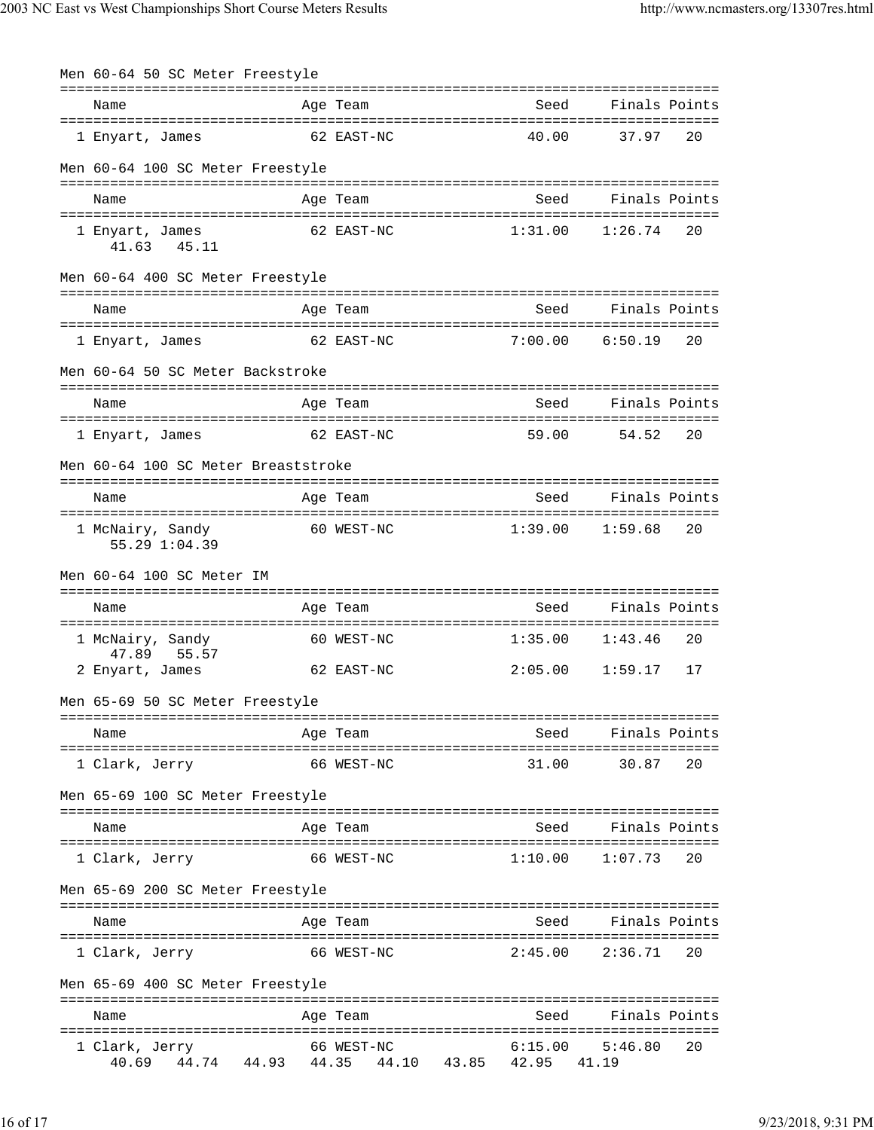| Men 60-64 50 SC Meter Freestyle        |       |                           |                  |                  |               |
|----------------------------------------|-------|---------------------------|------------------|------------------|---------------|
| Name                                   |       | Age Team                  |                  | Seed             | Finals Points |
| 1 Enyart, James                        |       | 62 EAST-NC                | 40.00            | 37.97            | 20            |
| Men 60-64 100 SC Meter Freestyle       |       |                           |                  |                  |               |
| Name                                   |       | Age Team                  |                  | Seed             | Finals Points |
| 1 Enyart, James<br>41.63 45.11         |       | 62 EAST-NC                | 1:31.00          | 1:26.74          | 20            |
| Men 60-64 400 SC Meter Freestyle       |       |                           |                  |                  |               |
| Name                                   |       | Age Team                  |                  | Seed             | Finals Points |
| 1 Enyart, James                        |       | 62 EAST-NC                | 7:00.00          | 6:50.19          | 20            |
| Men 60-64 50 SC Meter Backstroke       |       |                           |                  |                  |               |
| Name                                   |       | Age Team                  |                  | Seed             | Finals Points |
| 1 Enyart, James                        |       | 62 EAST-NC                | 59.00            | 54.52            | 20            |
| Men 60-64 100 SC Meter Breaststroke    |       |                           |                  |                  |               |
| Name                                   |       | Age Team                  |                  | Seed             | Finals Points |
| 1 McNairy, Sandy<br>55.29 1:04.39      |       | 60 WEST-NC                | 1:39.00          | 1:59.68          | 20            |
| Men 60-64 100 SC Meter IM              |       |                           |                  |                  |               |
| Name                                   |       | Age Team                  |                  | Seed             | Finals Points |
| 1 McNairy, Sandy                       |       | 60 WEST-NC                | 1:35.00          | 1:43.46          | 20            |
| 47.89 55.57<br>2 Enyart, James         |       | 62 EAST-NC                | 2:05.00          | 1:59.17          | 17            |
| Men 65-69 50 SC Meter Freestyle        |       |                           |                  |                  |               |
| Name                                   |       | Age Team                  |                  | Seed             | Finals Points |
| 1 Clark, Jerry                         |       | 66 WEST-NC                | 31.00            | 30.87            | 20            |
| Men 65-69 100 SC Meter Freestyle       |       |                           |                  |                  |               |
| Name                                   |       | Age Team                  |                  | Seed             | Finals Points |
| 1 Clark, Jerry                         |       | 66 WEST-NC                | 1:10.00          | 1:07.73          | 20            |
| Men 65-69 200 SC Meter Freestyle       |       |                           |                  |                  |               |
| Name                                   |       | Age Team                  |                  | Seed             | Finals Points |
| 1 Clark, Jerry                         |       | 66 WEST-NC                | 2:45.00          | 2:36.71          | 20            |
| Men 65-69 400 SC Meter Freestyle       |       |                           |                  |                  |               |
| Name                                   |       | Age Team                  |                  | Seed             | Finals Points |
| 1 Clark, Jerry<br>40.69<br>44.74 44.93 | 44.35 | 66 WEST-NC<br>44.10 43.85 | 6:15.00<br>42.95 | 5:46.80<br>41.19 | 20            |